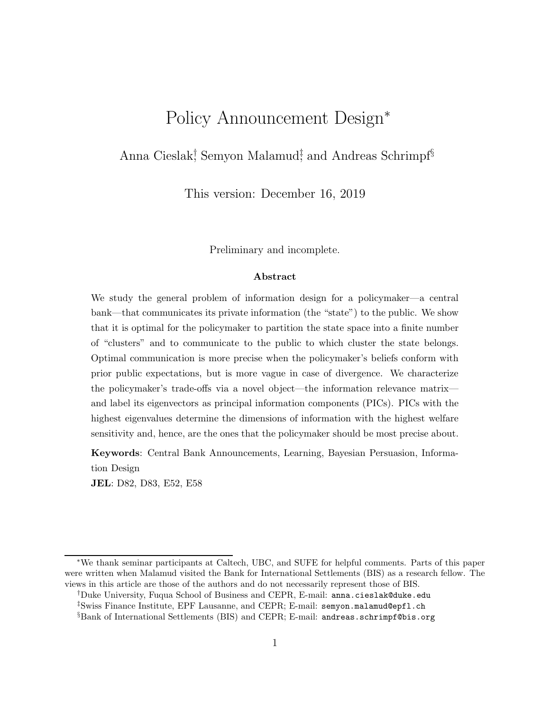# Policy Announcement Design<sup>∗</sup>

### Anna Cieslak<sup>†</sup>, Semyon Malamud<sup>‡</sup>, and Andreas Schrimpf<sup>§</sup>

This version: December 16, 2019

Preliminary and incomplete.

#### Abstract

We study the general problem of information design for a policymaker—a central bank—that communicates its private information (the "state") to the public. We show that it is optimal for the policymaker to partition the state space into a finite number of "clusters" and to communicate to the public to which cluster the state belongs. Optimal communication is more precise when the policymaker's beliefs conform with prior public expectations, but is more vague in case of divergence. We characterize the policymaker's trade-offs via a novel object—the information relevance matrix and label its eigenvectors as principal information components (PICs). PICs with the highest eigenvalues determine the dimensions of information with the highest welfare sensitivity and, hence, are the ones that the policymaker should be most precise about.

Keywords: Central Bank Announcements, Learning, Bayesian Persuasion, Information Design

JEL: D82, D83, E52, E58

<sup>∗</sup>We thank seminar participants at Caltech, UBC, and SUFE for helpful comments. Parts of this paper were written when Malamud visited the Bank for International Settlements (BIS) as a research fellow. The views in this article are those of the authors and do not necessarily represent those of BIS.

<sup>†</sup>Duke University, Fuqua School of Business and CEPR, E-mail: anna.cieslak@duke.edu ‡Swiss Finance Institute, EPF Lausanne, and CEPR; E-mail: semyon.malamud@epfl.ch

<sup>§</sup>Bank of International Settlements (BIS) and CEPR; E-mail: andreas.schrimpf@bis.org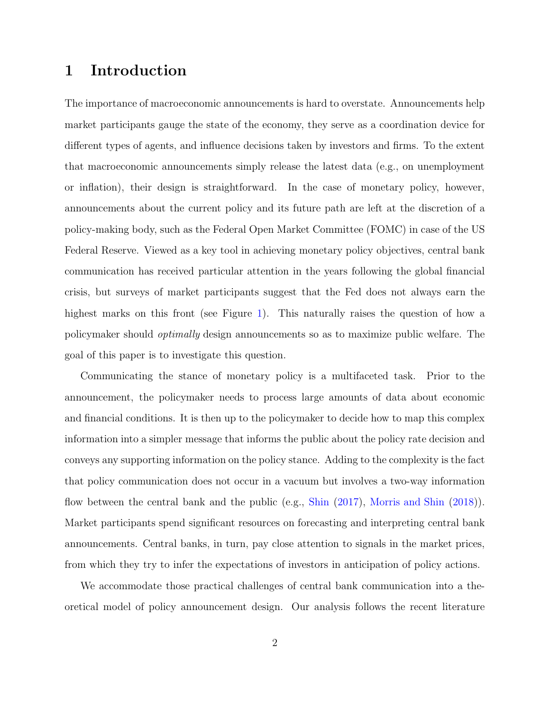### 1 Introduction

The importance of macroeconomic announcements is hard to overstate. Announcements help market participants gauge the state of the economy, they serve as a coordination device for different types of agents, and influence decisions taken by investors and firms. To the extent that macroeconomic announcements simply release the latest data (e.g., on unemployment or inflation), their design is straightforward. In the case of monetary policy, however, announcements about the current policy and its future path are left at the discretion of a policy-making body, such as the Federal Open Market Committee (FOMC) in case of the US Federal Reserve. Viewed as a key tool in achieving monetary policy objectives, central bank communication has received particular attention in the years following the global financial crisis, but surveys of market participants suggest that the Fed does not always earn the highest marks on this front (see Figure [1\)](#page-2-0). This naturally raises the question of how a policymaker should optimally design announcements so as to maximize public welfare. The goal of this paper is to investigate this question.

Communicating the stance of monetary policy is a multifaceted task. Prior to the announcement, the policymaker needs to process large amounts of data about economic and financial conditions. It is then up to the policymaker to decide how to map this complex information into a simpler message that informs the public about the policy rate decision and conveys any supporting information on the policy stance. Adding to the complexity is the fact that policy communication does not occur in a vacuum but involves a two-way information flow between the central bank and the public (e.g., [Shin](#page-40-0) [\(2017](#page-40-0)), [Morris and Shin](#page-40-1) [\(2018\)](#page-40-1)). Market participants spend significant resources on forecasting and interpreting central bank announcements. Central banks, in turn, pay close attention to signals in the market prices, from which they try to infer the expectations of investors in anticipation of policy actions.

We accommodate those practical challenges of central bank communication into a theoretical model of policy announcement design. Our analysis follows the recent literature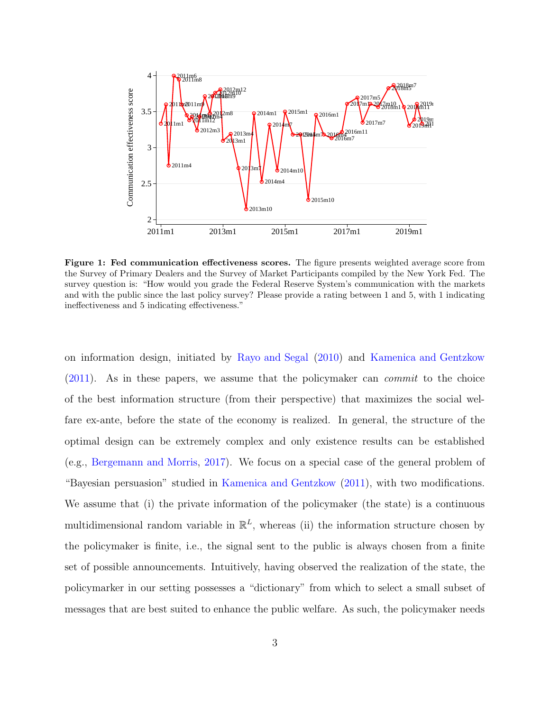<span id="page-2-0"></span>

Figure 1: Fed communication effectiveness scores. The figure presents weighted average score from the Survey of Primary Dealers and the Survey of Market Participants compiled by the New York Fed. The survey question is: "How would you grade the Federal Reserve System's communication with the markets and with the public since the last policy survey? Please provide a rating between 1 and 5, with 1 indicating ineffectiveness and 5 indicating effectiveness."

on information design, initiated by [Rayo and Segal](#page-40-2) [\(2010](#page-40-2)) and [Kamenica and Gentzkow](#page-39-0) [\(2011\)](#page-39-0). As in these papers, we assume that the policymaker can commit to the choice of the best information structure (from their perspective) that maximizes the social welfare ex-ante, before the state of the economy is realized. In general, the structure of the optimal design can be extremely complex and only existence results can be established (e.g., [Bergemann and Morris,](#page-37-0) [2017](#page-37-0)). We focus on a special case of the general problem of "Bayesian persuasion" studied in [Kamenica and Gentzkow](#page-39-0) [\(2011\)](#page-39-0), with two modifications. We assume that (i) the private information of the policymaker (the state) is a continuous multidimensional random variable in  $\mathbb{R}^L$ , whereas (ii) the information structure chosen by the policymaker is finite, i.e., the signal sent to the public is always chosen from a finite set of possible announcements. Intuitively, having observed the realization of the state, the policymarker in our setting possesses a "dictionary" from which to select a small subset of messages that are best suited to enhance the public welfare. As such, the policymaker needs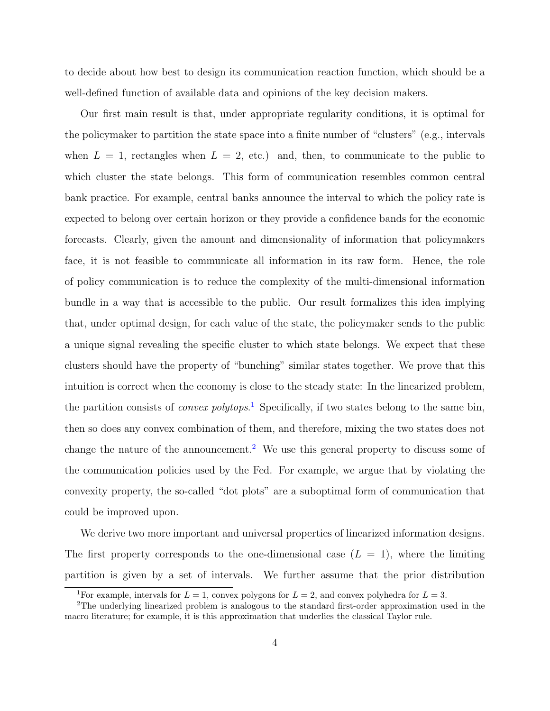to decide about how best to design its communication reaction function, which should be a well-defined function of available data and opinions of the key decision makers.

Our first main result is that, under appropriate regularity conditions, it is optimal for the policymaker to partition the state space into a finite number of "clusters" (e.g., intervals when  $L = 1$ , rectangles when  $L = 2$ , etc.) and, then, to communicate to the public to which cluster the state belongs. This form of communication resembles common central bank practice. For example, central banks announce the interval to which the policy rate is expected to belong over certain horizon or they provide a confidence bands for the economic forecasts. Clearly, given the amount and dimensionality of information that policymakers face, it is not feasible to communicate all information in its raw form. Hence, the role of policy communication is to reduce the complexity of the multi-dimensional information bundle in a way that is accessible to the public. Our result formalizes this idea implying that, under optimal design, for each value of the state, the policymaker sends to the public a unique signal revealing the specific cluster to which state belongs. We expect that these clusters should have the property of "bunching" similar states together. We prove that this intuition is correct when the economy is close to the steady state: In the linearized problem, the partition consists of *convex polytops*.<sup>[1](#page-3-0)</sup> Specifically, if two states belong to the same bin, then so does any convex combination of them, and therefore, mixing the two states does not change the nature of the announcement.<sup>[2](#page-3-1)</sup> We use this general property to discuss some of the communication policies used by the Fed. For example, we argue that by violating the convexity property, the so-called "dot plots" are a suboptimal form of communication that could be improved upon.

We derive two more important and universal properties of linearized information designs. The first property corresponds to the one-dimensional case  $(L = 1)$ , where the limiting partition is given by a set of intervals. We further assume that the prior distribution

<span id="page-3-0"></span><sup>&</sup>lt;sup>1</sup>For example, intervals for  $L = 1$ , convex polygons for  $L = 2$ , and convex polyhedra for  $L = 3$ .

<span id="page-3-1"></span><sup>2</sup>The underlying linearized problem is analogous to the standard first-order approximation used in the macro literature; for example, it is this approximation that underlies the classical Taylor rule.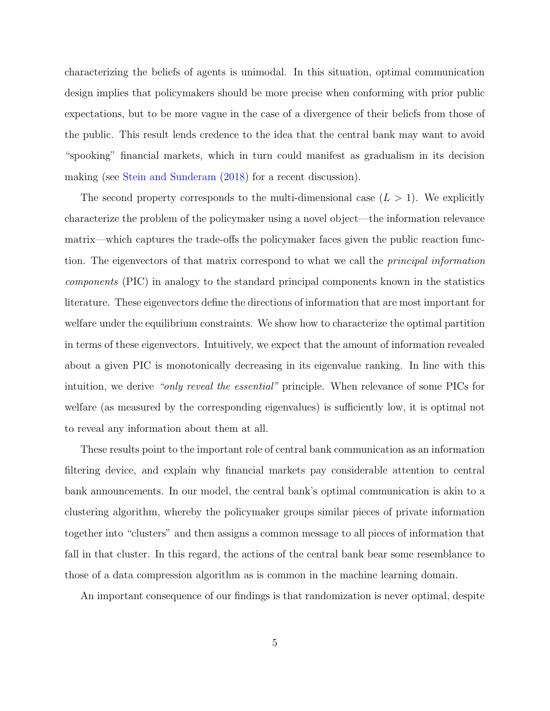characterizing the beliefs of agents is unimodal. In this situation, optimal communication design implies that policymakers should be more precise when conforming with prior public expectations, but to be more vague in the case of a divergence of their beliefs from those of the public. This result lends credence to the idea that the central bank may want to avoid "spooking" financial markets, which in turn could manifest as gradualism in its decision making (see [Stein and Sunderam](#page-40-3) [\(2018\)](#page-40-3) for a recent discussion).

The second property corresponds to the multi-dimensional case  $(L > 1)$ . We explicitly characterize the problem of the policymaker using a novel object—the information relevance matrix—which captures the trade-offs the policymaker faces given the public reaction function. The eigenvectors of that matrix correspond to what we call the principal information components (PIC) in analogy to the standard principal components known in the statistics literature. These eigenvectors define the directions of information that are most important for welfare under the equilibrium constraints. We show how to characterize the optimal partition in terms of these eigenvectors. Intuitively, we expect that the amount of information revealed about a given PIC is monotonically decreasing in its eigenvalue ranking. In line with this intuition, we derive "only reveal the essential" principle. When relevance of some PICs for welfare (as measured by the corresponding eigenvalues) is sufficiently low, it is optimal not to reveal any information about them at all.

These results point to the important role of central bank communication as an information filtering device, and explain why financial markets pay considerable attention to central bank announcements. In our model, the central bank's optimal communication is akin to a clustering algorithm, whereby the policymaker groups similar pieces of private information together into "clusters" and then assigns a common message to all pieces of information that fall in that cluster. In this regard, the actions of the central bank bear some resemblance to those of a data compression algorithm as is common in the machine learning domain.

An important consequence of our findings is that randomization is never optimal, despite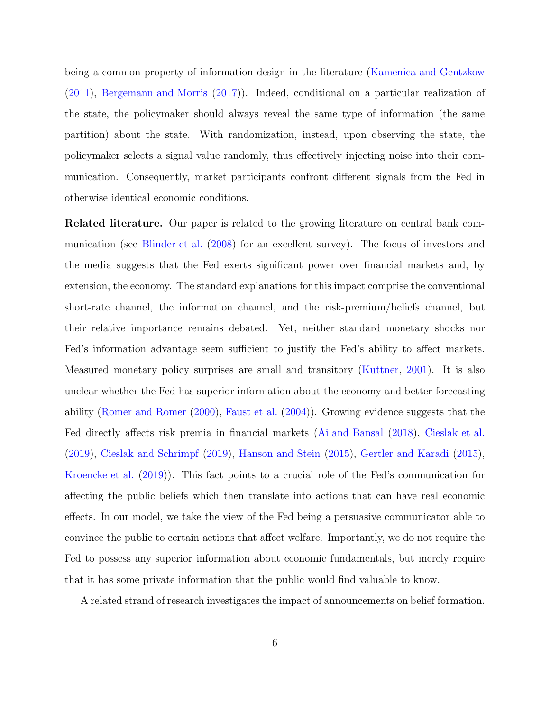being a common property of information design in the literature [\(Kamenica and Gentzkow](#page-39-0) [\(2011\)](#page-39-0), [Bergemann and Morris](#page-37-0) [\(2017\)](#page-37-0)). Indeed, conditional on a particular realization of the state, the policymaker should always reveal the same type of information (the same partition) about the state. With randomization, instead, upon observing the state, the policymaker selects a signal value randomly, thus effectively injecting noise into their communication. Consequently, market participants confront different signals from the Fed in otherwise identical economic conditions.

Related literature. Our paper is related to the growing literature on central bank communication (see [Blinder et al.](#page-37-1) [\(2008](#page-37-1)) for an excellent survey). The focus of investors and the media suggests that the Fed exerts significant power over financial markets and, by extension, the economy. The standard explanations for this impact comprise the conventional short-rate channel, the information channel, and the risk-premium/beliefs channel, but their relative importance remains debated. Yet, neither standard monetary shocks nor Fed's information advantage seem sufficient to justify the Fed's ability to affect markets. Measured monetary policy surprises are small and transitory [\(Kuttner](#page-39-1), [2001](#page-39-1)). It is also unclear whether the Fed has superior information about the economy and better forecasting ability [\(Romer and Romer](#page-40-4) [\(2000\)](#page-40-4), [Faust et al.](#page-38-0) [\(2004\)](#page-38-0)). Growing evidence suggests that the Fed directly affects risk premia in financial markets [\(Ai and Bansal](#page-37-2) [\(2018\)](#page-37-2), [Cieslak et al.](#page-38-1) [\(2019\)](#page-38-1), [Cieslak and Schrimpf](#page-38-2) [\(2019\)](#page-38-2), [Hanson and Stein](#page-39-2) [\(2015](#page-39-2)), [Gertler and Karadi](#page-38-3) [\(2015](#page-38-3)), [Kroencke et al.](#page-39-3) [\(2019](#page-39-3))). This fact points to a crucial role of the Fed's communication for affecting the public beliefs which then translate into actions that can have real economic effects. In our model, we take the view of the Fed being a persuasive communicator able to convince the public to certain actions that affect welfare. Importantly, we do not require the Fed to possess any superior information about economic fundamentals, but merely require that it has some private information that the public would find valuable to know.

A related strand of research investigates the impact of announcements on belief formation.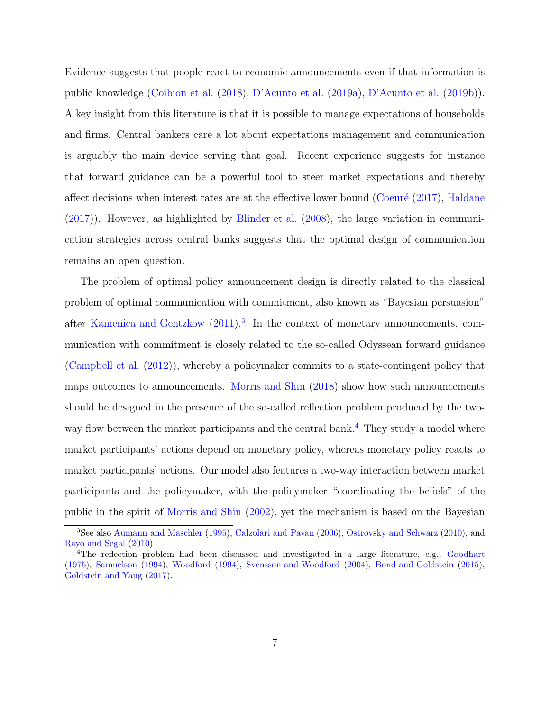Evidence suggests that people react to economic announcements even if that information is public knowledge [\(Coibion et al.](#page-38-4) [\(2018\)](#page-38-4), [D'Acunto et al.](#page-38-5) [\(2019a\)](#page-38-5), [D'Acunto et al.](#page-38-6) [\(2019b\)](#page-38-6)). A key insight from this literature is that it is possible to manage expectations of households and firms. Central bankers care a lot about expectations management and communication is arguably the main device serving that goal. Recent experience suggests for instance that forward guidance can be a powerful tool to steer market expectations and thereby affect decisions when interest rates are at the effective lower bound (Coeuré  $(2017)$ , [Haldane](#page-39-4) [\(2017\)](#page-39-4)). However, as highlighted by [Blinder et al.](#page-37-1) [\(2008](#page-37-1)), the large variation in communication strategies across central banks suggests that the optimal design of communication remains an open question.

The problem of optimal policy announcement design is directly related to the classical problem of optimal communication with commitment, also known as "Bayesian persuasion" after [Kamenica and Gentzkow](#page-39-0)  $(2011).<sup>3</sup>$  $(2011).<sup>3</sup>$  $(2011).<sup>3</sup>$  $(2011).<sup>3</sup>$  In the context of monetary announcements, communication with commitment is closely related to the so-called Odyssean forward guidance [\(Campbell et al.](#page-37-3) [\(2012\)](#page-37-3)), whereby a policymaker commits to a state-contingent policy that maps outcomes to announcements. [Morris and Shin](#page-40-1) [\(2018](#page-40-1)) show how such announcements should be designed in the presence of the so-called reflection problem produced by the two-way flow between the market participants and the central bank.<sup>[4](#page-6-1)</sup> They study a model where market participants' actions depend on monetary policy, whereas monetary policy reacts to market participants' actions. Our model also features a two-way interaction between market participants and the policymaker, with the policymaker "coordinating the beliefs" of the public in the spirit of [Morris and Shin](#page-40-5) [\(2002\)](#page-40-5), yet the mechanism is based on the Bayesian

<span id="page-6-0"></span><sup>3</sup>See also [Aumann and Maschler](#page-37-4) [\(1995](#page-37-4)), [Calzolari and Pavan](#page-37-5) [\(2006\)](#page-37-5), [Ostrovsky and Schwarz](#page-40-6) [\(2010\)](#page-40-6), and [Rayo and Segal](#page-40-2) [\(2010\)](#page-40-2)

<span id="page-6-1"></span><sup>&</sup>lt;sup>4</sup>The reflection problem had been discussed and investigated in a large literature, e.g., [Goodhart](#page-38-8) [\(1975\)](#page-38-8), [Samuelson](#page-40-7) [\(1994\)](#page-40-7), [Woodford](#page-41-0) [\(1994\)](#page-41-0), [Svensson and Woodford](#page-40-8) [\(2004\)](#page-40-8), [Bond and Goldstein](#page-37-6) [\(2015\)](#page-37-6), [Goldstein and Yang](#page-38-9) [\(2017\)](#page-38-9).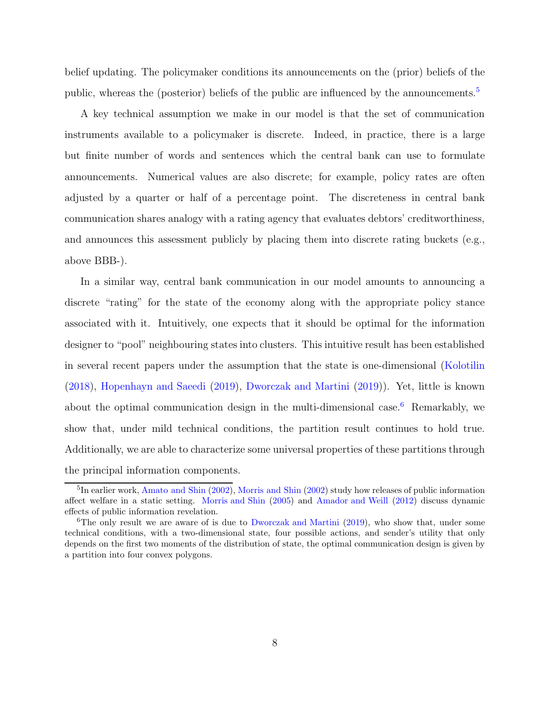belief updating. The policymaker conditions its announcements on the (prior) beliefs of the public, whereas the (posterior) beliefs of the public are influenced by the announcements.[5](#page-7-0)

A key technical assumption we make in our model is that the set of communication instruments available to a policymaker is discrete. Indeed, in practice, there is a large but finite number of words and sentences which the central bank can use to formulate announcements. Numerical values are also discrete; for example, policy rates are often adjusted by a quarter or half of a percentage point. The discreteness in central bank communication shares analogy with a rating agency that evaluates debtors' creditworthiness, and announces this assessment publicly by placing them into discrete rating buckets (e.g., above BBB-).

In a similar way, central bank communication in our model amounts to announcing a discrete "rating" for the state of the economy along with the appropriate policy stance associated with it. Intuitively, one expects that it should be optimal for the information designer to "pool" neighbouring states into clusters. This intuitive result has been established in several recent papers under the assumption that the state is one-dimensional [\(Kolotilin](#page-39-5) [\(2018\)](#page-39-5), [Hopenhayn and Saeedi](#page-39-6) [\(2019\)](#page-39-6), [Dworczak and Martini](#page-38-10) [\(2019\)](#page-38-10)). Yet, little is known about the optimal communication design in the multi-dimensional case. [6](#page-7-1) Remarkably, we show that, under mild technical conditions, the partition result continues to hold true. Additionally, we are able to characterize some universal properties of these partitions through the principal information components.

<span id="page-7-0"></span><sup>&</sup>lt;sup>5</sup>In earlier work, [Amato and Shin](#page-39-7) [\(2002\)](#page-40-5), [Morris and Shin](#page-40-5) (2002) study how releases of public information affect welfare in a static setting. [Morris and Shin](#page-40-9) [\(2005\)](#page-40-9) and [Amador and Weill](#page-37-7) [\(2012\)](#page-37-7) discuss dynamic effects of public information revelation.

<span id="page-7-1"></span><sup>&</sup>lt;sup>6</sup>The only result we are aware of is due to [Dworczak and Martini](#page-38-10) [\(2019\)](#page-38-10), who show that, under some technical conditions, with a two-dimensional state, four possible actions, and sender's utility that only depends on the first two moments of the distribution of state, the optimal communication design is given by a partition into four convex polygons.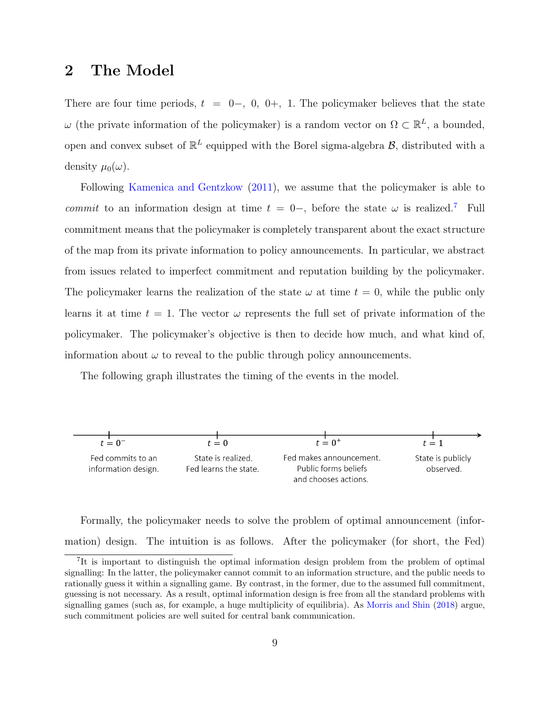### 2 The Model

There are four time periods,  $t = 0-, 0, 0+, 1$ . The policymaker believes that the state  $\omega$  (the private information of the policymaker) is a random vector on  $\Omega \subset \mathbb{R}^L$ , a bounded, open and convex subset of  $\mathbb{R}^L$  equipped with the Borel sigma-algebra  $\mathcal{B}$ , distributed with a density  $\mu_0(\omega)$ .

Following [Kamenica and Gentzkow](#page-39-0) [\(2011\)](#page-39-0), we assume that the policymaker is able to commit to an information design at time  $t = 0-$ , before the state  $\omega$  is realized.<sup>[7](#page-8-0)</sup> Full commitment means that the policymaker is completely transparent about the exact structure of the map from its private information to policy announcements. In particular, we abstract from issues related to imperfect commitment and reputation building by the policymaker. The policymaker learns the realization of the state  $\omega$  at time  $t = 0$ , while the public only learns it at time  $t = 1$ . The vector  $\omega$  represents the full set of private information of the policymaker. The policymaker's objective is then to decide how much, and what kind of, information about  $\omega$  to reveal to the public through policy announcements.

The following graph illustrates the timing of the events in the model.



Formally, the policymaker needs to solve the problem of optimal announcement (information) design. The intuition is as follows. After the policymaker (for short, the Fed)

<span id="page-8-0"></span><sup>&</sup>lt;sup>7</sup>It is important to distinguish the optimal information design problem from the problem of optimal signalling: In the latter, the policymaker cannot commit to an information structure, and the public needs to rationally guess it within a signalling game. By contrast, in the former, due to the assumed full commitment, guessing is not necessary. As a result, optimal information design is free from all the standard problems with signalling games (such as, for example, a huge multiplicity of equilibria). As [Morris and Shin](#page-40-1) [\(2018](#page-40-1)) argue, such commitment policies are well suited for central bank communication.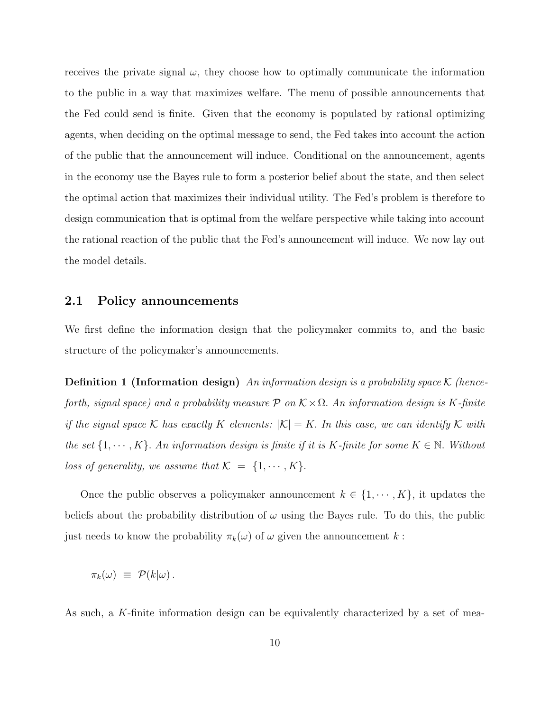receives the private signal  $\omega$ , they choose how to optimally communicate the information to the public in a way that maximizes welfare. The menu of possible announcements that the Fed could send is finite. Given that the economy is populated by rational optimizing agents, when deciding on the optimal message to send, the Fed takes into account the action of the public that the announcement will induce. Conditional on the announcement, agents in the economy use the Bayes rule to form a posterior belief about the state, and then select the optimal action that maximizes their individual utility. The Fed's problem is therefore to design communication that is optimal from the welfare perspective while taking into account the rational reaction of the public that the Fed's announcement will induce. We now lay out the model details.

#### 2.1 Policy announcements

We first define the information design that the policymaker commits to, and the basic structure of the policymaker's announcements.

**Definition 1 (Information design)** An information design is a probability space K (henceforth, signal space) and a probability measure  $P$  on  $\mathcal{K} \times \Omega$ . An information design is K-finite if the signal space K has exactly K elements:  $|K| = K$ . In this case, we can identify K with the set  $\{1, \dots, K\}$ . An information design is finite if it is K-finite for some  $K \in \mathbb{N}$ . Without loss of generality, we assume that  $\mathcal{K} = \{1, \cdots, K\}.$ 

Once the public observes a policymaker announcement  $k \in \{1, \cdots, K\}$ , it updates the beliefs about the probability distribution of  $\omega$  using the Bayes rule. To do this, the public just needs to know the probability  $\pi_k(\omega)$  of  $\omega$  given the announcement k:

$$
\pi_k(\omega) \equiv \mathcal{P}(k|\omega).
$$

As such, a K-finite information design can be equivalently characterized by a set of mea-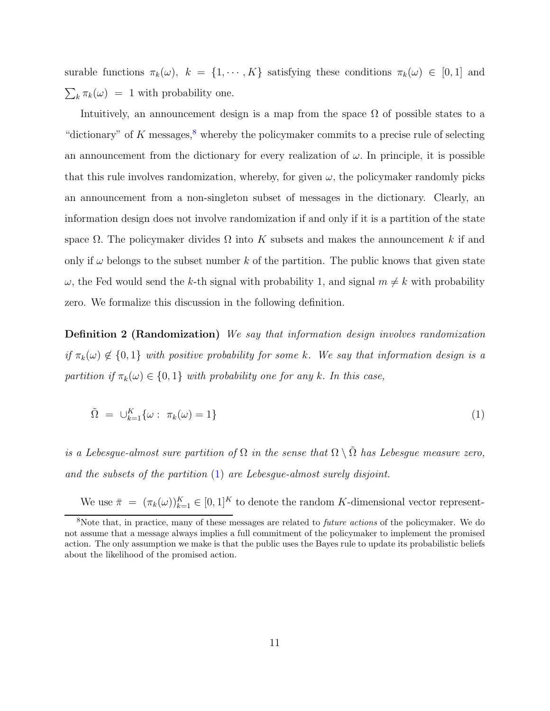surable functions  $\pi_k(\omega)$ ,  $k = \{1, \dots, K\}$  satisfying these conditions  $\pi_k(\omega) \in [0, 1]$  and  $\sum_{k} \pi_k(\omega) = 1$  with probability one.

Intuitively, an announcement design is a map from the space  $\Omega$  of possible states to a "dictionary" of K messages,  $\frac{8}{3}$  $\frac{8}{3}$  $\frac{8}{3}$  whereby the policymaker commits to a precise rule of selecting an announcement from the dictionary for every realization of  $\omega$ . In principle, it is possible that this rule involves randomization, whereby, for given  $\omega$ , the policymaker randomly picks an announcement from a non-singleton subset of messages in the dictionary. Clearly, an information design does not involve randomization if and only if it is a partition of the state space  $\Omega$ . The policymaker divides  $\Omega$  into K subsets and makes the announcement k if and only if  $\omega$  belongs to the subset number k of the partition. The public knows that given state  $\omega$ , the Fed would send the k-th signal with probability 1, and signal  $m \neq k$  with probability zero. We formalize this discussion in the following definition.

Definition 2 (Randomization) We say that information design involves randomization if  $\pi_k(\omega) \notin \{0,1\}$  with positive probability for some k. We say that information design is a partition if  $\pi_k(\omega) \in \{0,1\}$  with probability one for any k. In this case,

<span id="page-10-1"></span>
$$
\tilde{\Omega} = \cup_{k=1}^{K} \{ \omega : \pi_k(\omega) = 1 \}
$$
\n
$$
(1)
$$

is a Lebesgue-almost sure partition of  $\Omega$  in the sense that  $\Omega \setminus \tilde{\Omega}$  has Lebesgue measure zero, and the subsets of the partition [\(1\)](#page-10-1) are Lebesgue-almost surely disjoint.

We use  $\bar{\pi} = (\pi_k(\omega))_{k=1}^K \in [0,1]^K$  to denote the random K-dimensional vector represent-

<span id="page-10-0"></span><sup>&</sup>lt;sup>8</sup>Note that, in practice, many of these messages are related to *future actions* of the policymaker. We do not assume that a message always implies a full commitment of the policymaker to implement the promised action. The only assumption we make is that the public uses the Bayes rule to update its probabilistic beliefs about the likelihood of the promised action.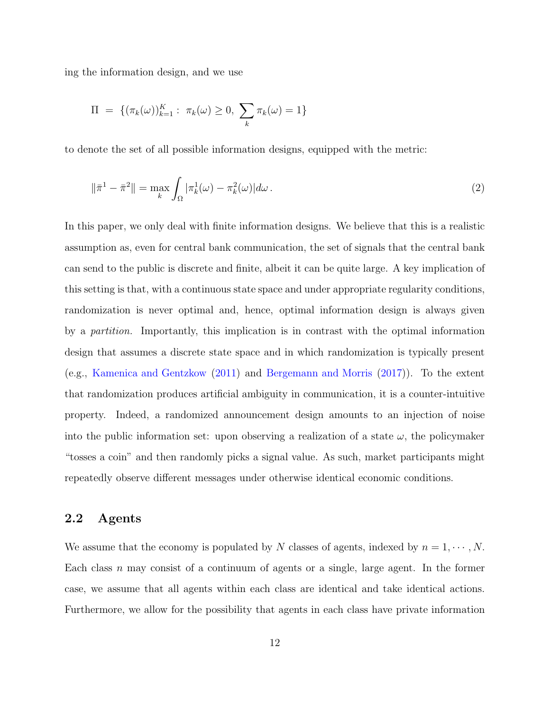ing the information design, and we use

$$
\Pi = \{ (\pi_k(\omega))_{k=1}^K : \ \pi_k(\omega) \ge 0, \ \sum_k \pi_k(\omega) = 1 \}
$$

to denote the set of all possible information designs, equipped with the metric:

<span id="page-11-0"></span>
$$
\|\bar{\pi}^1 - \bar{\pi}^2\| = \max_{k} \int_{\Omega} |\pi_k^1(\omega) - \pi_k^2(\omega)| d\omega.
$$
 (2)

In this paper, we only deal with finite information designs. We believe that this is a realistic assumption as, even for central bank communication, the set of signals that the central bank can send to the public is discrete and finite, albeit it can be quite large. A key implication of this setting is that, with a continuous state space and under appropriate regularity conditions, randomization is never optimal and, hence, optimal information design is always given by a partition. Importantly, this implication is in contrast with the optimal information design that assumes a discrete state space and in which randomization is typically present (e.g., [Kamenica and Gentzkow](#page-39-0) [\(2011](#page-39-0)) and [Bergemann and Morris](#page-37-0) [\(2017\)](#page-37-0)). To the extent that randomization produces artificial ambiguity in communication, it is a counter-intuitive property. Indeed, a randomized announcement design amounts to an injection of noise into the public information set: upon observing a realization of a state  $\omega$ , the policymaker "tosses a coin" and then randomly picks a signal value. As such, market participants might repeatedly observe different messages under otherwise identical economic conditions.

#### 2.2 Agents

We assume that the economy is populated by N classes of agents, indexed by  $n = 1, \dots, N$ . Each class n may consist of a continuum of agents or a single, large agent. In the former case, we assume that all agents within each class are identical and take identical actions. Furthermore, we allow for the possibility that agents in each class have private information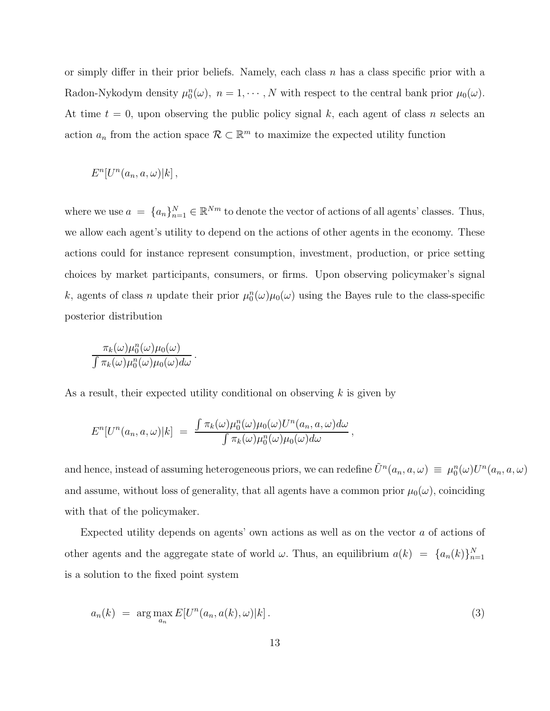or simply differ in their prior beliefs. Namely, each class  $n$  has a class specific prior with a Radon-Nykodym density  $\mu_0^n(\omega)$ ,  $n = 1, \dots, N$  with respect to the central bank prior  $\mu_0(\omega)$ . At time  $t = 0$ , upon observing the public policy signal k, each agent of class n selects an action  $a_n$  from the action space  $\mathcal{R} \subset \mathbb{R}^m$  to maximize the expected utility function

$$
E^{n}[U^{n}(a_n,a,\omega)|k],
$$

where we use  $a = \{a_n\}_{n=1}^N \in \mathbb{R}^{Nm}$  to denote the vector of actions of all agents' classes. Thus, we allow each agent's utility to depend on the actions of other agents in the economy. These actions could for instance represent consumption, investment, production, or price setting choices by market participants, consumers, or firms. Upon observing policymaker's signal k, agents of class n update their prior  $\mu_0^n(\omega)\mu_0(\omega)$  using the Bayes rule to the class-specific posterior distribution

$$
\frac{\pi_k(\omega)\mu_0^n(\omega)\mu_0(\omega)}{\int \pi_k(\omega)\mu_0^n(\omega)\mu_0(\omega)d\omega}.
$$

As a result, their expected utility conditional on observing k is given by

$$
E^{n}[U^{n}(a_{n}, a, \omega)|k] = \frac{\int \pi_{k}(\omega)\mu_{0}^{n}(\omega)\mu_{0}(\omega)U^{n}(a_{n}, a, \omega)d\omega}{\int \pi_{k}(\omega)\mu_{0}^{n}(\omega)\mu_{0}(\omega)d\omega},
$$

and hence, instead of assuming heterogeneous priors, we can redefine  $\tilde{U}^n(a_n, a, \omega) \equiv \mu_0^n(\omega) U^n(a_n, a, \omega)$ and assume, without loss of generality, that all agents have a common prior  $\mu_0(\omega)$ , coinciding with that of the policymaker.

Expected utility depends on agents' own actions as well as on the vector a of actions of other agents and the aggregate state of world  $\omega$ . Thus, an equilibrium  $a(k) = \{a_n(k)\}_{n=1}^N$ is a solution to the fixed point system

<span id="page-12-0"></span>
$$
a_n(k) = \arg \max_{a_n} E[U^n(a_n, a(k), \omega)|k]. \tag{3}
$$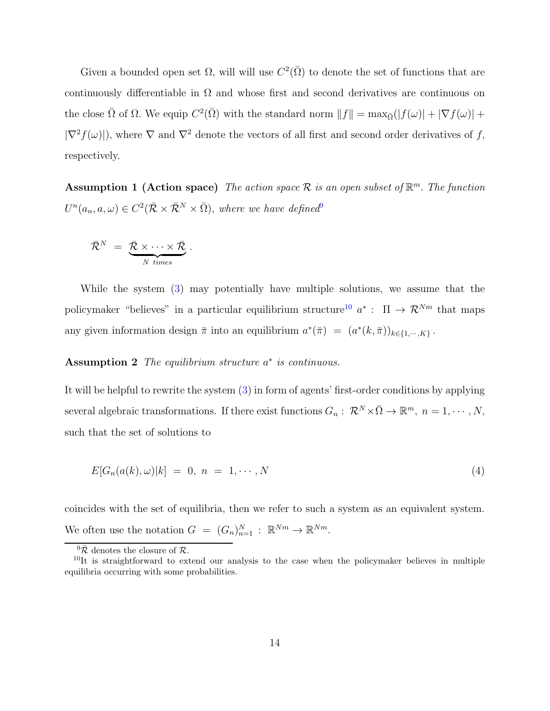Given a bounded open set  $\Omega$ , will will use  $C^2(\overline{\Omega})$  to denote the set of functions that are continuously differentiable in  $\Omega$  and whose first and second derivatives are continuous on the close  $\bar{\Omega}$  of  $\Omega$ . We equip  $C^2(\bar{\Omega})$  with the standard norm  $||f|| = \max_{\bar{\Omega}}(|f(\omega)| + |\nabla f(\omega)| + |\nabla f(\omega)|$  $|\nabla^2 f(\omega)|$ , where  $\nabla$  and  $\nabla^2$  denote the vectors of all first and second order derivatives of f, respectively.

Assumption 1 (Action space) The action space  $\mathcal R$  is an open subset of  $\mathbb R^m$ . The function  $U^n(a_n,a,\omega) \in C^2(\bar{\mathcal{R}} \times \bar{\mathcal{R}}^N \times \bar{\Omega}),$  where we have defined

$$
\bar{\mathcal{R}}^N = \underbrace{\bar{\mathcal{R}} \times \cdots \times \bar{\mathcal{R}}}_{N \text{ times}}.
$$

While the system [\(3\)](#page-12-0) may potentially have multiple solutions, we assume that the policymaker "believes" in a particular equilibrium structure<sup>[10](#page-13-1)</sup>  $a^*$ :  $\Pi \to \mathcal{R}^{Nm}$  that maps any given information design  $\bar{\pi}$  into an equilibrium  $a^*(\bar{\pi}) = (a^*(k, \bar{\pi}))_{k \in \{1, \dots, K\}}$ .

#### Assumption 2 The equilibrium structure  $a^*$  is continuous.

It will be helpful to rewrite the system [\(3\)](#page-12-0) in form of agents' first-order conditions by applying several algebraic transformations. If there exist functions  $G_n: \mathcal{R}^N \times \bar{\Omega} \to \mathbb{R}^m$ ,  $n = 1, \cdots, N$ , such that the set of solutions to

<span id="page-13-2"></span>
$$
E[G_n(a(k),\omega)|k] = 0, n = 1,\cdots,N
$$
\n
$$
(4)
$$

coincides with the set of equilibria, then we refer to such a system as an equivalent system. We often use the notation  $G = (G_n)_{n=1}^N : \mathbb{R}^{Nm} \to \mathbb{R}^{Nm}$ .

<span id="page-13-0"></span> $9\overline{\mathcal{R}}$  denotes the closure of  $\mathcal{R}$ .

<span id="page-13-1"></span><sup>&</sup>lt;sup>10</sup>It is straightforward to extend our analysis to the case when the policymaker believes in multiple equilibria occurring with some probabilities.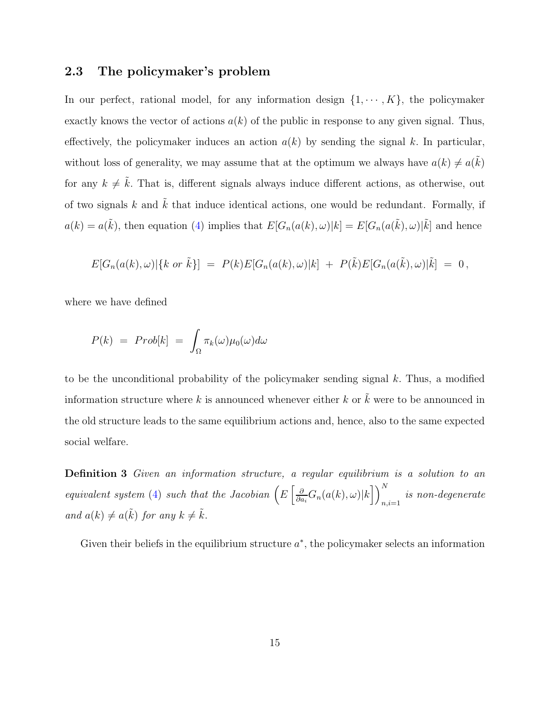#### 2.3 The policymaker's problem

In our perfect, rational model, for any information design  $\{1, \dots, K\}$ , the policymaker exactly knows the vector of actions  $a(k)$  of the public in response to any given signal. Thus, effectively, the policymaker induces an action  $a(k)$  by sending the signal k. In particular, without loss of generality, we may assume that at the optimum we always have  $a(k) \neq a(\tilde{k})$ for any  $k \neq \tilde{k}$ . That is, different signals always induce different actions, as otherwise, out of two signals  $k$  and  $k$  that induce identical actions, one would be redundant. Formally, if  $a(k) = a(\tilde{k})$ , then equation [\(4\)](#page-13-2) implies that  $E[G_n(a(k), \omega)|k] = E[G_n(a(\tilde{k}), \omega)|\tilde{k}]$  and hence

$$
E[G_n(a(k),\omega)]\{k \text{ or } \tilde{k}\}] = P(k)E[G_n(a(k),\omega)|k] + P(\tilde{k})E[G_n(a(\tilde{k}),\omega)|\tilde{k}] = 0,
$$

where we have defined

$$
P(k) = Prob[k] = \int_{\Omega} \pi_k(\omega) \mu_0(\omega) d\omega
$$

to be the unconditional probability of the policymaker sending signal  $k$ . Thus, a modified information structure where k is announced whenever either k or  $\tilde{k}$  were to be announced in the old structure leads to the same equilibrium actions and, hence, also to the same expected social welfare.

<span id="page-14-0"></span>Definition 3 Given an information structure, a regular equilibrium is a solution to an equivalent system [\(4\)](#page-13-2) such that the Jacobian  $\left(E\left[\frac{\partial}{\partial a}\right]\right)$  $\frac{\partial}{\partial a_i} G_n(a(k),\omega)|k\rceil\bigg)^N_n$  $\sum_{n,i=1}^{n}$  is non-degenerate and  $a(k) \neq a(\tilde{k})$  for any  $k \neq \tilde{k}$ .

Given their beliefs in the equilibrium structure  $a^*$ , the policymaker selects an information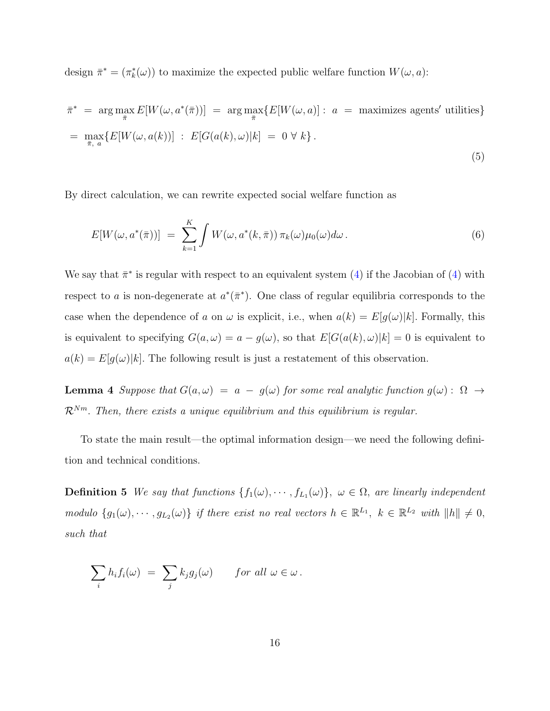design  $\bar{\pi}^* = (\pi_k^*(\omega))$  to maximize the expected public welfare function  $W(\omega, a)$ :

$$
\bar{\pi}^* = \arg \max_{\bar{\pi}} E[W(\omega, a^*(\bar{\pi}))] = \arg \max_{\bar{\pi}} \{E[W(\omega, a)] : a = \text{maximizes agents' utilities}\}
$$

$$
= \max_{\bar{\pi}, a} \{E[W(\omega, a(k))] : E[G(a(k), \omega)|k] = 0 \,\forall k\}.
$$
\n(5)

By direct calculation, we can rewrite expected social welfare function as

<span id="page-15-1"></span><span id="page-15-0"></span>
$$
E[W(\omega, a^*(\bar{\pi}))] = \sum_{k=1}^K \int W(\omega, a^*(k, \bar{\pi})) \pi_k(\omega) \mu_0(\omega) d\omega.
$$
 (6)

We say that  $\bar{\pi}^*$  is regular with respect to an equivalent system [\(4\)](#page-13-2) if the Jacobian of (4) with respect to a is non-degenerate at  $a^*(\bar{\pi}^*)$ . One class of regular equilibria corresponds to the case when the dependence of a on  $\omega$  is explicit, i.e., when  $a(k) = E[g(\omega)|k]$ . Formally, this is equivalent to specifying  $G(a, \omega) = a - g(\omega)$ , so that  $E[G(a(k), \omega)|k] = 0$  is equivalent to  $a(k) = E[g(\omega)|k]$ . The following result is just a restatement of this observation.

<span id="page-15-2"></span>**Lemma 4** Suppose that  $G(a, \omega) = a - g(\omega)$  for some real analytic function  $g(\omega)$ :  $\Omega \rightarrow$  $\mathcal{R}^{Nm}$ . Then, there exists a unique equilibrium and this equilibrium is regular.

To state the main result—the optimal information design—we need the following definition and technical conditions.

**Definition 5** We say that functions  $\{f_1(\omega), \dots, f_{L_1}(\omega)\}\$ ,  $\omega \in \Omega$ , are linearly independent modulo  $\{g_1(\omega), \dots, g_{L_2}(\omega)\}\$  if there exist no real vectors  $h \in \mathbb{R}^{L_1}$ ,  $k \in \mathbb{R}^{L_2}$  with  $||h|| \neq 0$ , such that

$$
\sum_i h_i f_i(\omega) = \sum_j k_j g_j(\omega) \quad \text{for all } \omega \in \omega.
$$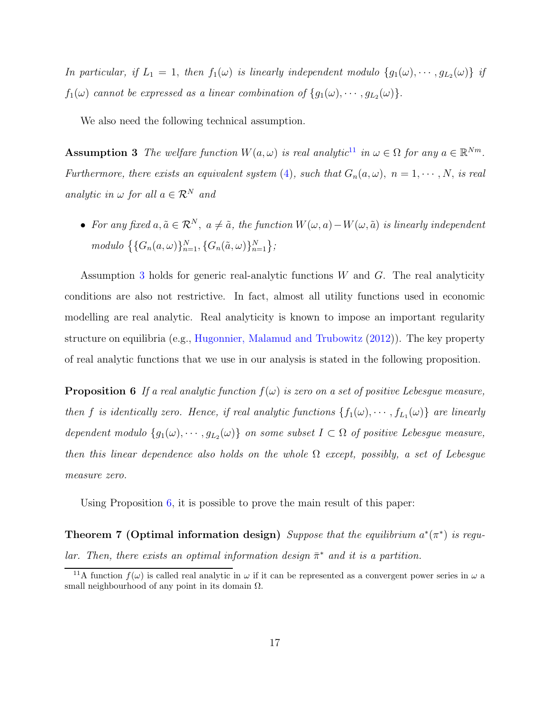In particular, if  $L_1 = 1$ , then  $f_1(\omega)$  is linearly independent modulo  $\{g_1(\omega), \cdots, g_{L_2}(\omega)\}\;$  if  $f_1(\omega)$  cannot be expressed as a linear combination of  $\{g_1(\omega), \cdots, g_{L_2}(\omega)\}.$ 

<span id="page-16-1"></span>We also need the following technical assumption.

**Assumption 3** The welfare function  $W(a,\omega)$  is real analytic<sup>[11](#page-16-0)</sup> in  $\omega \in \Omega$  for any  $a \in \mathbb{R}^{Nm}$ . Furthermore, there exists an equivalent system [\(4\)](#page-13-2), such that  $G_n(a,\omega)$ ,  $n=1,\cdots,N$ , is real analytic in  $\omega$  for all  $a \in \mathcal{R}^N$  and

• For any fixed  $a, \tilde{a} \in \mathcal{R}^N$ ,  $a \neq \tilde{a}$ , the function  $W(\omega, a) - W(\omega, \tilde{a})$  is linearly independent modulo  $\{ \{ G_n(a, \omega) \}_{n=1}^N, \{ G_n(\tilde{a}, \omega) \}_{n=1}^N \}$ ;

Assumption [3](#page-16-1) holds for generic real-analytic functions W and G. The real analyticity conditions are also not restrictive. In fact, almost all utility functions used in economic modelling are real analytic. Real analyticity is known to impose an important regularity structure on equilibria (e.g., [Hugonnier, Malamud and Trubowitz](#page-39-8) [\(2012](#page-39-8))). The key property of real analytic functions that we use in our analysis is stated in the following proposition.

<span id="page-16-2"></span>**Proposition 6** If a real analytic function  $f(\omega)$  is zero on a set of positive Lebesgue measure, then f is identically zero. Hence, if real analytic functions  $\{f_1(\omega), \dots, f_{L_1}(\omega)\}\$  are linearly dependent modulo  $\{g_1(\omega), \dots, g_{L_2}(\omega)\}\$  on some subset  $I \subset \Omega$  of positive Lebesgue measure, then this linear dependence also holds on the whole  $\Omega$  except, possibly, a set of Lebesque measure zero.

<span id="page-16-3"></span>Using Proposition  $6$ , it is possible to prove the main result of this paper:

**Theorem 7 (Optimal information design)** Suppose that the equilibrium  $a^*(\pi^*)$  is regular. Then, there exists an optimal information design  $\bar{\pi}^*$  and it is a partition.

<span id="page-16-0"></span><sup>&</sup>lt;sup>11</sup>A function  $f(\omega)$  is called real analytic in  $\omega$  if it can be represented as a convergent power series in  $\omega$  a small neighbourhood of any point in its domain  $\Omega$ .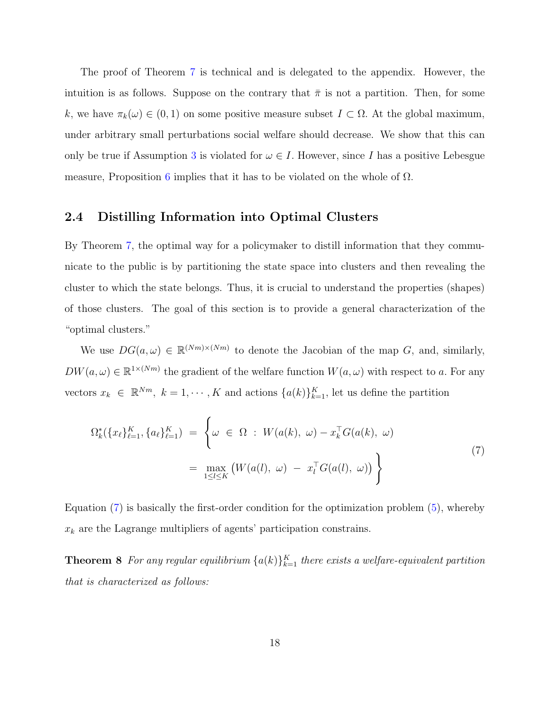The proof of Theorem [7](#page-16-3) is technical and is delegated to the appendix. However, the intuition is as follows. Suppose on the contrary that  $\bar{\pi}$  is not a partition. Then, for some k, we have  $\pi_k(\omega) \in (0,1)$  on some positive measure subset  $I \subset \Omega$ . At the global maximum, under arbitrary small perturbations social welfare should decrease. We show that this can only be true if Assumption [3](#page-16-1) is violated for  $\omega \in I$ . However, since I has a positive Lebesgue measure, Proposition [6](#page-16-2) implies that it has to be violated on the whole of  $\Omega$ .

#### 2.4 Distilling Information into Optimal Clusters

By Theorem [7,](#page-16-3) the optimal way for a policymaker to distill information that they communicate to the public is by partitioning the state space into clusters and then revealing the cluster to which the state belongs. Thus, it is crucial to understand the properties (shapes) of those clusters. The goal of this section is to provide a general characterization of the "optimal clusters."

We use  $DG(a,\omega) \in \mathbb{R}^{(Nm)\times(Nm)}$  to denote the Jacobian of the map G, and, similarly,  $DW(a,\omega) \in \mathbb{R}^{1 \times (Nm)}$  the gradient of the welfare function  $W(a,\omega)$  with respect to a. For any vectors  $x_k \in \mathbb{R}^{Nm}$ ,  $k = 1, \dots, K$  and actions  $\{a(k)\}_{k=1}^K$ , let us define the partition

<span id="page-17-0"></span>
$$
\Omega_k^*(\{x_\ell\}_{\ell=1}^K, \{a_\ell\}_{\ell=1}^K) = \left\{\omega \in \Omega : W(a(k), \omega) - x_k^\top G(a(k), \omega) \right\}
$$
\n
$$
= \max_{1 \leq l \leq K} \left( W(a(l), \omega) - x_l^\top G(a(l), \omega) \right) \right\}
$$
\n
$$
(7)
$$

<span id="page-17-1"></span>Equation  $(7)$  is basically the first-order condition for the optimization problem  $(5)$ , whereby  $x_k$  are the Lagrange multipliers of agents' participation constrains.

**Theorem 8** For any regular equilibrium  $\{a(k)\}_{k=1}^K$  there exists a welfare-equivalent partition that is characterized as follows: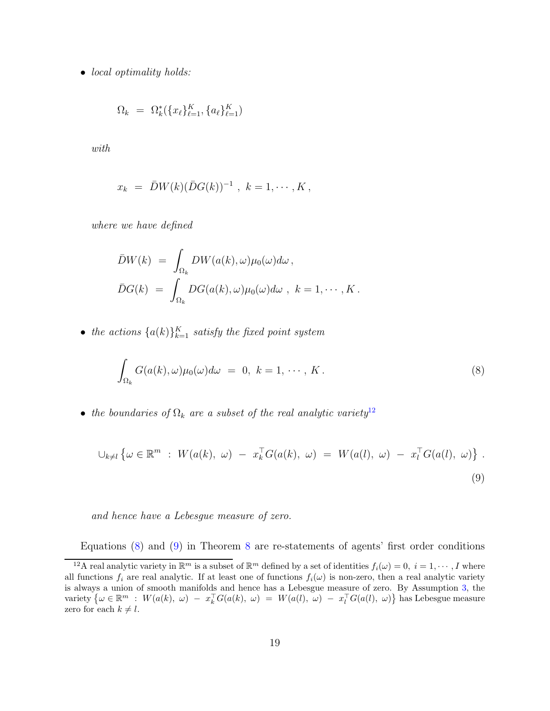• *local optimality holds:* 

$$
\Omega_k = \Omega_k^*(\{x_\ell\}_{\ell=1}^K, \{a_\ell\}_{\ell=1}^K)
$$

with

$$
x_k = \bar{D}W(k)(\bar{D}G(k))^{-1}, k = 1, \cdots, K,
$$

where we have defined

$$
\bar{D}W(k) = \int_{\Omega_k} DW(a(k), \omega) \mu_0(\omega) d\omega ,
$$
  

$$
\bar{D}G(k) = \int_{\Omega_k} DG(a(k), \omega) \mu_0(\omega) d\omega , k = 1, \cdots, K.
$$

• the actions  ${a(k)}_{k=1}^K$  satisfy the fixed point system

<span id="page-18-2"></span><span id="page-18-1"></span>
$$
\int_{\Omega_k} G(a(k), \omega) \mu_0(\omega) d\omega = 0, \ k = 1, \cdots, K.
$$
\n(8)

• the boundaries of  $\Omega_k$  are a subset of the real analytic variety<sup>[12](#page-18-0)</sup>

$$
\bigcup_{k \neq l} \left\{ \omega \in \mathbb{R}^m : W(a(k), \omega) - x_k^{\top} G(a(k), \omega) = W(a(l), \omega) - x_l^{\top} G(a(l), \omega) \right\}.
$$
\n(9)

and hence have a Lebesgue measure of zero.

Equations [\(8\)](#page-18-1) and [\(9\)](#page-18-2) in Theorem [8](#page-17-1) are re-statements of agents' first order conditions

<span id="page-18-0"></span><sup>&</sup>lt;sup>12</sup>A real analytic variety in  $\mathbb{R}^m$  is a subset of  $\mathbb{R}^m$  defined by a set of identities  $f_i(\omega) = 0, i = 1, \dots, I$  where all functions  $f_i$  are real analytic. If at least one of functions  $f_i(\omega)$  is non-zero, then a real analytic variety is always a union of smooth manifolds and hence has a Lebesgue measure of zero. By Assumption [3,](#page-16-1) the variety  $\big\{\omega \in \mathbb{R}^m : W(a(k), \omega) - x_k^{\top} G(a(k), \omega) = W(a(l), \omega) - x_l^{\top} G(a(l), \omega)\big\}$  has Lebesgue measure zero for each  $k \neq l$ .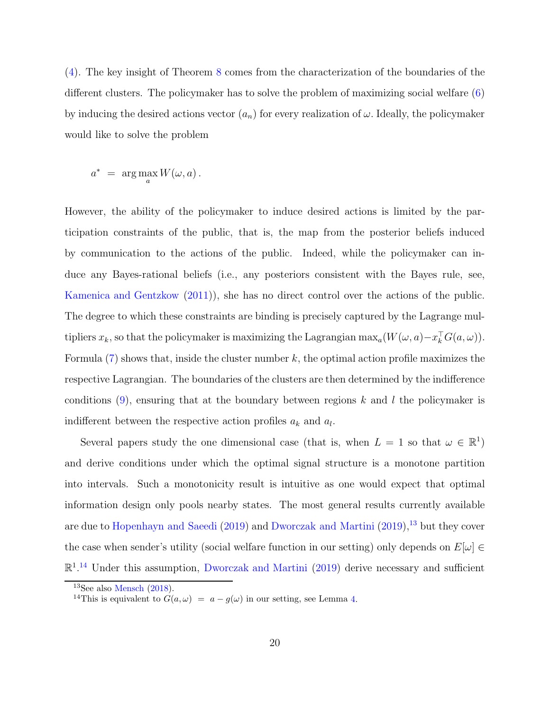[\(4\)](#page-13-2). The key insight of Theorem [8](#page-17-1) comes from the characterization of the boundaries of the different clusters. The policymaker has to solve the problem of maximizing social welfare [\(6\)](#page-15-1) by inducing the desired actions vector  $(a_n)$  for every realization of  $\omega$ . Ideally, the policymaker would like to solve the problem

$$
a^* = \arg\max_a W(\omega, a).
$$

However, the ability of the policymaker to induce desired actions is limited by the participation constraints of the public, that is, the map from the posterior beliefs induced by communication to the actions of the public. Indeed, while the policymaker can induce any Bayes-rational beliefs (i.e., any posteriors consistent with the Bayes rule, see, [Kamenica and Gentzkow](#page-39-0) [\(2011](#page-39-0))), she has no direct control over the actions of the public. The degree to which these constraints are binding is precisely captured by the Lagrange multipliers  $x_k$ , so that the policymaker is maximizing the Lagrangian  $\max_a(W(\omega, a) - x_k^{\top}G(a, \omega))$ . Formula  $(7)$  shows that, inside the cluster number k, the optimal action profile maximizes the respective Lagrangian. The boundaries of the clusters are then determined by the indifference conditions  $(9)$ , ensuring that at the boundary between regions k and l the policymaker is indifferent between the respective action profiles  $a_k$  and  $a_l$ .

Several papers study the one dimensional case (that is, when  $L = 1$  so that  $\omega \in \mathbb{R}^1$ ) and derive conditions under which the optimal signal structure is a monotone partition into intervals. Such a monotonicity result is intuitive as one would expect that optimal information design only pools nearby states. The most general results currently available are due to [Hopenhayn and Saeedi](#page-39-6) [\(2019\)](#page-39-6) and [Dworczak and Martini](#page-38-10) [\(2019](#page-38-10)),<sup>[13](#page-19-0)</sup> but they cover the case when sender's utility (social welfare function in our setting) only depends on  $E[\omega] \in$  $\mathbb{R}^{1,14}$  $\mathbb{R}^{1,14}$  $\mathbb{R}^{1,14}$  Under this assumption, [Dworczak and Martini](#page-38-10) [\(2019](#page-38-10)) derive necessary and sufficient

 $13$ See also [Mensch](#page-40-10)  $(2018)$ .

<span id="page-19-1"></span><span id="page-19-0"></span><sup>&</sup>lt;sup>14</sup>This is equivalent to  $G(a, \omega) = a - g(\omega)$  in our setting, see Lemma [4.](#page-15-2)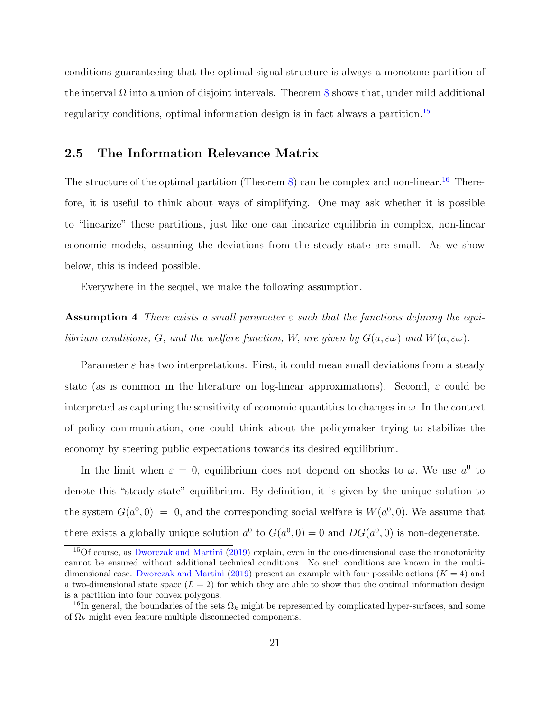conditions guaranteeing that the optimal signal structure is always a monotone partition of the interval  $\Omega$  into a union of disjoint intervals. Theorem [8](#page-17-1) shows that, under mild additional regularity conditions, optimal information design is in fact always a partition.[15](#page-20-0)

#### 2.5 The Information Relevance Matrix

The structure of the optimal partition (Theorem [8\)](#page-17-1) can be complex and non-linear.<sup>[16](#page-20-1)</sup> Therefore, it is useful to think about ways of simplifying. One may ask whether it is possible to "linearize" these partitions, just like one can linearize equilibria in complex, non-linear economic models, assuming the deviations from the steady state are small. As we show below, this is indeed possible.

<span id="page-20-2"></span>Everywhere in the sequel, we make the following assumption.

**Assumption 4** There exists a small parameter  $\varepsilon$  such that the functions defining the equilibrium conditions, G, and the welfare function, W, are given by  $G(a, \varepsilon \omega)$  and  $W(a, \varepsilon \omega)$ .

Parameter  $\varepsilon$  has two interpretations. First, it could mean small deviations from a steady state (as is common in the literature on log-linear approximations). Second,  $\varepsilon$  could be interpreted as capturing the sensitivity of economic quantities to changes in  $\omega$ . In the context of policy communication, one could think about the policymaker trying to stabilize the economy by steering public expectations towards its desired equilibrium.

In the limit when  $\varepsilon = 0$ , equilibrium does not depend on shocks to  $\omega$ . We use  $a^0$  to denote this "steady state" equilibrium. By definition, it is given by the unique solution to the system  $G(a^0,0) = 0$ , and the corresponding social welfare is  $W(a^0,0)$ . We assume that there exists a globally unique solution  $a^0$  to  $G(a^0, 0) = 0$  and  $DG(a^0, 0)$  is non-degenerate.

<span id="page-20-0"></span><sup>15</sup>Of course, as [Dworczak and Martini](#page-38-10) [\(2019](#page-38-10)) explain, even in the one-dimensional case the monotonicity cannot be ensured without additional technical conditions. No such conditions are known in the multi-dimensional case. [Dworczak and Martini](#page-38-10) [\(2019\)](#page-38-10) present an example with four possible actions  $(K = 4)$  and a two-dimensional state space  $(L = 2)$  for which they are able to show that the optimal information design is a partition into four convex polygons.

<span id="page-20-1"></span><sup>&</sup>lt;sup>16</sup>In general, the boundaries of the sets  $\Omega_k$  might be represented by complicated hyper-surfaces, and some of  $\Omega_k$  might even feature multiple disconnected components.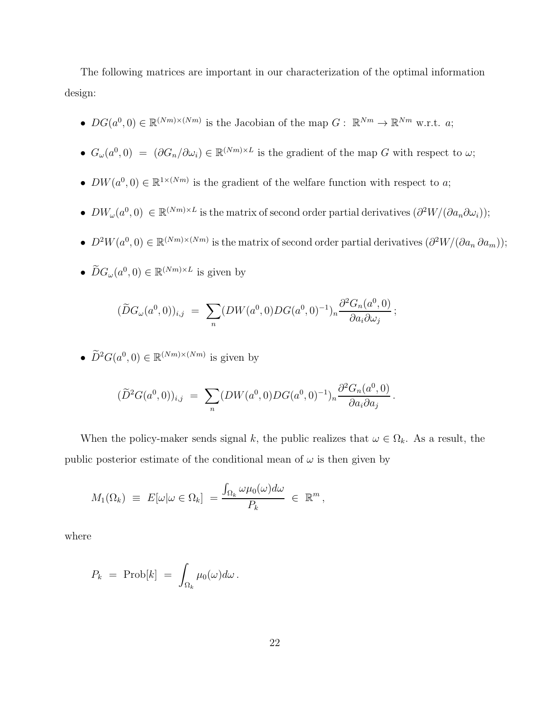The following matrices are important in our characterization of the optimal information design:

- $DG(a^0, 0) \in \mathbb{R}^{(Nm)\times(Nm)}$  is the Jacobian of the map  $G: \mathbb{R}^{Nm} \to \mathbb{R}^{Nm}$  w.r.t. a;
- $G_{\omega}(a^0, 0) = (\partial G_n/\partial \omega_i) \in \mathbb{R}^{(Nm)\times L}$  is the gradient of the map G with respect to  $\omega$ ;
- $DW(a^0, 0) \in \mathbb{R}^{1 \times (Nm)}$  is the gradient of the welfare function with respect to a;
- $DW_\omega(a^0,0) \in \mathbb{R}^{(Nm)\times L}$  is the matrix of second order partial derivatives  $(\partial^2 W/(\partial a_n \partial \omega_i));$
- $D^2W(a^0, 0) \in \mathbb{R}^{(Nm)\times(Nm)}$  is the matrix of second order partial derivatives  $\left(\frac{\partial^2 W}{\partial a_n} a_{m}\right)$ ;
- $\widetilde{D}G_{\omega}(a^0, 0) \in \mathbb{R}^{(Nm)\times L}$  is given by

$$
(\widetilde{D}G_{\omega}(a^0,0))_{i,j} = \sum_{n} (DW(a^0,0)DG(a^0,0)^{-1})_n \frac{\partial^2 G_n(a^0,0)}{\partial a_i \partial \omega_j};
$$

•  $\widetilde{D}^2 G(a^0, 0) \in \mathbb{R}^{(Nm)\times(Nm)}$  is given by

$$
(\widetilde{D}^2 G(a^0,0))_{i,j} = \sum_n (DW(a^0,0)DG(a^0,0)^{-1})_n \frac{\partial^2 G_n(a^0,0)}{\partial a_i \partial a_j}.
$$

When the policy-maker sends signal k, the public realizes that  $\omega \in \Omega_k$ . As a result, the public posterior estimate of the conditional mean of  $\omega$  is then given by

$$
M_1(\Omega_k) \equiv E[\omega | \omega \in \Omega_k] = \frac{\int_{\Omega_k} \omega \mu_0(\omega) d\omega}{P_k} \in \mathbb{R}^m,
$$

where

$$
P_k = \text{Prob}[k] = \int_{\Omega_k} \mu_0(\omega) d\omega.
$$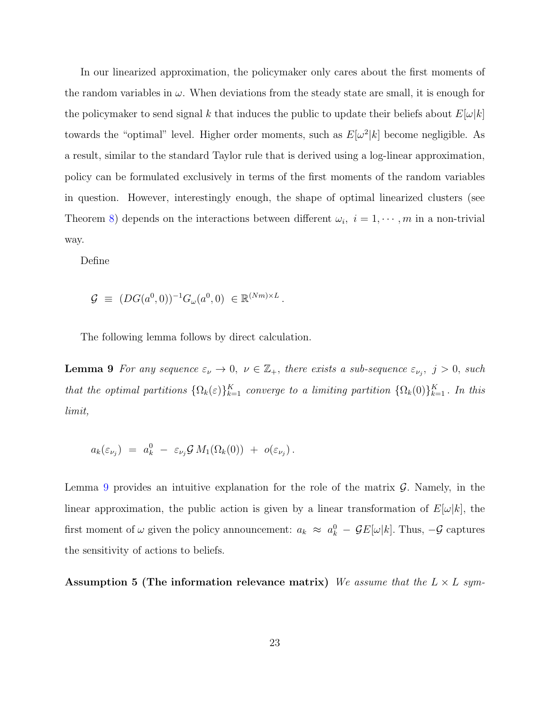In our linearized approximation, the policymaker only cares about the first moments of the random variables in  $\omega$ . When deviations from the steady state are small, it is enough for the policymaker to send signal k that induces the public to update their beliefs about  $E[\omega|k]$ towards the "optimal" level. Higher order moments, such as  $E[\omega^2|k]$  become negligible. As a result, similar to the standard Taylor rule that is derived using a log-linear approximation, policy can be formulated exclusively in terms of the first moments of the random variables in question. However, interestingly enough, the shape of optimal linearized clusters (see Theorem [8\)](#page-17-1) depends on the interactions between different  $\omega_i$ ,  $i = 1, \dots, m$  in a non-trivial way.

Define

<span id="page-22-0"></span>
$$
\mathcal{G} \equiv (DG(a^0, 0))^{-1} G_{\omega}(a^0, 0) \in \mathbb{R}^{(Nm)\times L}.
$$

The following lemma follows by direct calculation.

**Lemma 9** For any sequence  $\varepsilon_{\nu} \to 0$ ,  $\nu \in \mathbb{Z}_+$ , there exists a sub-sequence  $\varepsilon_{\nu_j}$ ,  $j > 0$ , such that the optimal partitions  $\{\Omega_k(\varepsilon)\}_{k=1}^K$  converge to a limiting partition  $\{\Omega_k(0)\}_{k=1}^K$ . In this limit,

$$
a_k(\varepsilon_{\nu_j}) = a_k^0 - \varepsilon_{\nu_j} \mathcal{G} M_1(\Omega_k(0)) + o(\varepsilon_{\nu_j}).
$$

Lemma [9](#page-22-0) provides an intuitive explanation for the role of the matrix  $\mathcal G$ . Namely, in the linear approximation, the public action is given by a linear transformation of  $E[\omega|k]$ , the first moment of  $\omega$  given the policy announcement:  $a_k \approx a_k^0 - \mathcal{G}E[\omega|k]$ . Thus,  $-\mathcal{G}$  captures the sensitivity of actions to beliefs.

<span id="page-22-1"></span>Assumption 5 (The information relevance matrix) We assume that the  $L \times L$  sym-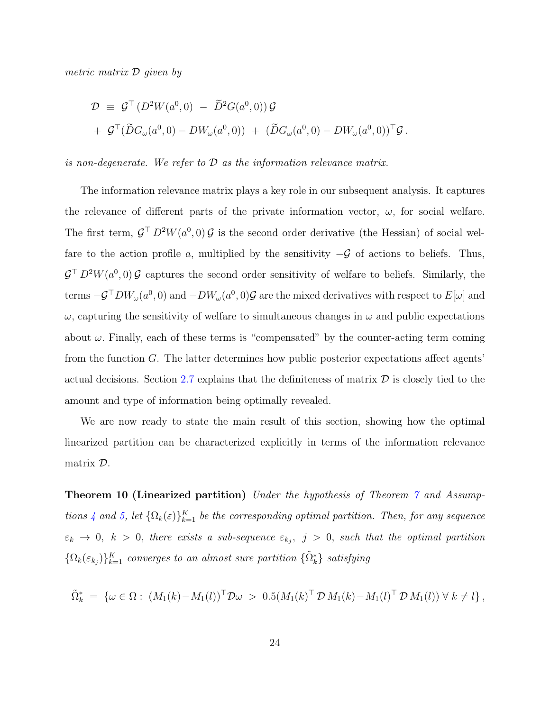metric matrix D given by

$$
\mathcal{D} \equiv \mathcal{G}^{\top} (D^2 W(a^0, 0) - \widetilde{D}^2 G(a^0, 0)) \mathcal{G}
$$
  
+ 
$$
\mathcal{G}^{\top} (\widetilde{D} G_{\omega}(a^0, 0) - DW_{\omega}(a^0, 0)) + (\widetilde{D} G_{\omega}(a^0, 0) - DW_{\omega}(a^0, 0))^{\top} \mathcal{G}.
$$

is non-degenerate. We refer to  $\mathcal D$  as the information relevance matrix.

The information relevance matrix plays a key role in our subsequent analysis. It captures the relevance of different parts of the private information vector,  $\omega$ , for social welfare. The first term,  $\mathcal{G}^{\top} D^2 W(a^0, 0) \mathcal{G}$  is the second order derivative (the Hessian) of social welfare to the action profile a, multiplied by the sensitivity  $-\mathcal{G}$  of actions to beliefs. Thus,  $\mathcal{G}^{\top} D^2 W(a^0, 0) \mathcal{G}$  captures the second order sensitivity of welfare to beliefs. Similarly, the terms  $-\mathcal{G}^\top DW_\omega(a^0,0)$  and  $-DW_\omega(a^0,0)\mathcal{G}$  are the mixed derivatives with respect to  $E[\omega]$  and  $\omega$ , capturing the sensitivity of welfare to simultaneous changes in  $\omega$  and public expectations about  $\omega$ . Finally, each of these terms is "compensated" by the counter-acting term coming from the function G. The latter determines how public posterior expectations affect agents' actual decisions. Section [2.7](#page-29-0) explains that the definiteness of matrix  $\mathcal D$  is closely tied to the amount and type of information being optimally revealed.

<span id="page-23-0"></span>We are now ready to state the main result of this section, showing how the optimal linearized partition can be characterized explicitly in terms of the information relevance matrix D.

**Theorem 10 (Linearized partition)** Under the hypothesis of Theorem [7](#page-16-3) and Assump-tions [4](#page-20-2) and [5,](#page-22-1) let  $\{\Omega_k(\varepsilon)\}_{k=1}^K$  be the corresponding optimal partition. Then, for any sequence  $\varepsilon_k \to 0, \; k > 0, \; \textit{there exists a sub-sequence } \varepsilon_{k_j}, \; j > 0, \; \textit{such that the optimal partition}$  $\{\Omega_k(\varepsilon_{k_j})\}_{k=1}^K$  converges to an almost sure partition  $\{\tilde{\Omega}_k^*\}$  satisfying

$$
\tilde{\Omega}_k^* = \{ \omega \in \Omega : (M_1(k) - M_1(l))^{\top} \mathcal{D} \omega > 0.5(M_1(k)^{\top} \mathcal{D} M_1(k) - M_1(l)^{\top} \mathcal{D} M_1(l)) \ \forall \ k \neq l \},
$$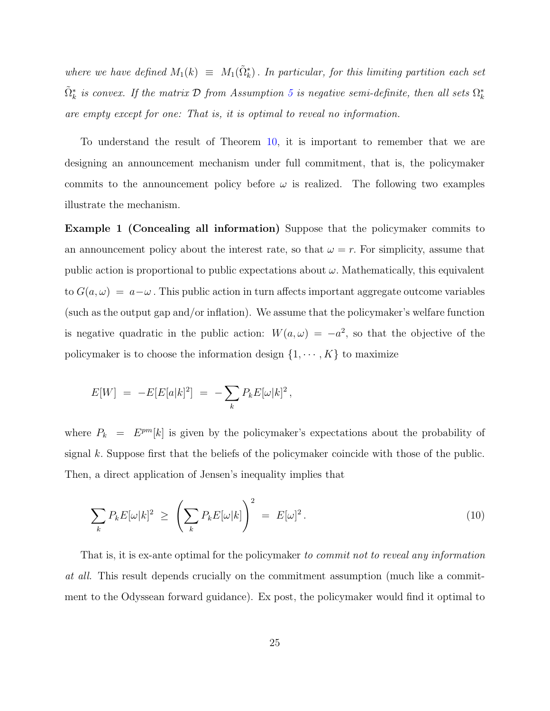where we have defined  $M_1(k) \equiv M_1(\tilde{\Omega}_k^*)$ . In particular, for this limiting partition each set  $\tilde{\Omega}^*_k$  is convex. If the matrix  ${\cal D}$  from Assumption [5](#page-22-1) is negative semi-definite, then all sets  $\Omega^*_k$ are empty except for one: That is, it is optimal to reveal no information.

To understand the result of Theorem [10,](#page-23-0) it is important to remember that we are designing an announcement mechanism under full commitment, that is, the policymaker commits to the announcement policy before  $\omega$  is realized. The following two examples illustrate the mechanism.

Example 1 (Concealing all information) Suppose that the policymaker commits to an announcement policy about the interest rate, so that  $\omega = r$ . For simplicity, assume that public action is proportional to public expectations about  $\omega$ . Mathematically, this equivalent to  $G(a, \omega) = a - \omega$ . This public action in turn affects important aggregate outcome variables (such as the output gap and/or inflation). We assume that the policymaker's welfare function is negative quadratic in the public action:  $W(a,\omega) = -a^2$ , so that the objective of the policymaker is to choose the information design  $\{1, \cdots, K\}$  to maximize

$$
E[W] = -E[E[a|k]^2] = -\sum_k P_k E[\omega|k]^2,
$$

where  $P_k = E^{pm}[k]$  is given by the policymaker's expectations about the probability of signal  $k$ . Suppose first that the beliefs of the policymaker coincide with those of the public. Then, a direct application of Jensen's inequality implies that

<span id="page-24-0"></span>
$$
\sum_{k} P_{k} E[\omega|k]^{2} \geq \left(\sum_{k} P_{k} E[\omega|k]\right)^{2} = E[\omega]^{2}.
$$
\n(10)

That is, it is ex-ante optimal for the policymaker to commit not to reveal any information at all. This result depends crucially on the commitment assumption (much like a commitment to the Odyssean forward guidance). Ex post, the policymaker would find it optimal to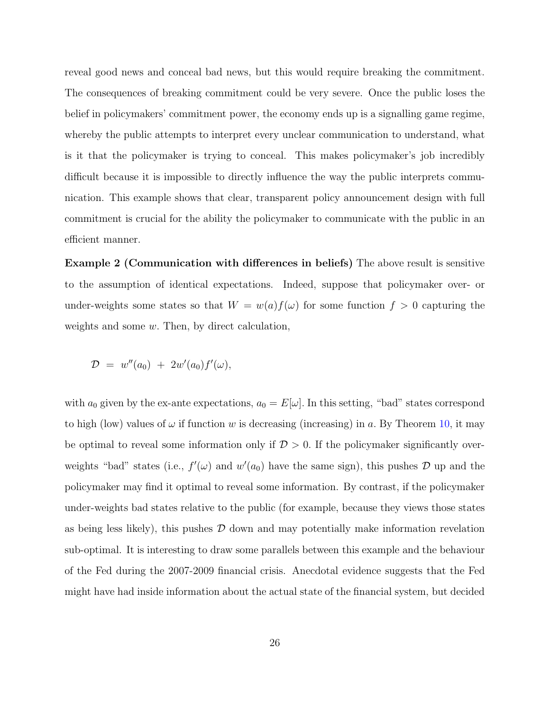reveal good news and conceal bad news, but this would require breaking the commitment. The consequences of breaking commitment could be very severe. Once the public loses the belief in policymakers' commitment power, the economy ends up is a signalling game regime, whereby the public attempts to interpret every unclear communication to understand, what is it that the policymaker is trying to conceal. This makes policymaker's job incredibly difficult because it is impossible to directly influence the way the public interprets communication. This example shows that clear, transparent policy announcement design with full commitment is crucial for the ability the policymaker to communicate with the public in an efficient manner.

Example 2 (Communication with differences in beliefs) The above result is sensitive to the assumption of identical expectations. Indeed, suppose that policymaker over- or under-weights some states so that  $W = w(a)f(\omega)$  for some function  $f > 0$  capturing the weights and some w. Then, by direct calculation,

$$
\mathcal{D} \,\,=\,\,w''(a_0)\,\,+\,\,2w'(a_0)f'(\omega),
$$

with  $a_0$  given by the ex-ante expectations,  $a_0 = E[\omega]$ . In this setting, "bad" states correspond to high (low) values of  $\omega$  if function w is decreasing (increasing) in a. By Theorem [10,](#page-23-0) it may be optimal to reveal some information only if  $D > 0$ . If the policymaker significantly overweights "bad" states (i.e.,  $f'(\omega)$  and  $w'(a_0)$  have the same sign), this pushes  $\mathcal D$  up and the policymaker may find it optimal to reveal some information. By contrast, if the policymaker under-weights bad states relative to the public (for example, because they views those states as being less likely), this pushes  $\mathcal D$  down and may potentially make information revelation sub-optimal. It is interesting to draw some parallels between this example and the behaviour of the Fed during the 2007-2009 financial crisis. Anecdotal evidence suggests that the Fed might have had inside information about the actual state of the financial system, but decided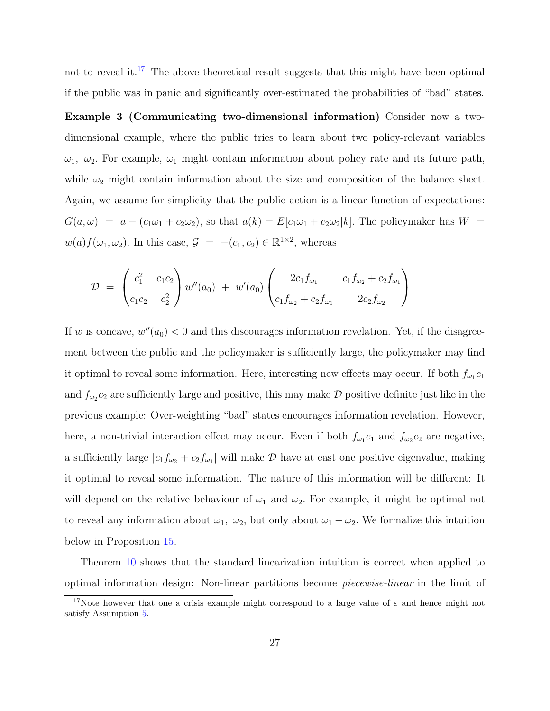not to reveal it.[17](#page-26-0) The above theoretical result suggests that this might have been optimal if the public was in panic and significantly over-estimated the probabilities of "bad" states.

Example 3 (Communicating two-dimensional information) Consider now a twodimensional example, where the public tries to learn about two policy-relevant variables  $\omega_1$ ,  $\omega_2$ . For example,  $\omega_1$  might contain information about policy rate and its future path, while  $\omega_2$  might contain information about the size and composition of the balance sheet. Again, we assume for simplicity that the public action is a linear function of expectations:  $G(a, \omega) = a - (c_1\omega_1 + c_2\omega_2)$ , so that  $a(k) = E[c_1\omega_1 + c_2\omega_2]k$ . The policymaker has  $W =$  $w(a) f(\omega_1, \omega_2)$ . In this case,  $\mathcal{G} = -(c_1, c_2) \in \mathbb{R}^{1 \times 2}$ , whereas

$$
\mathcal{D} = \begin{pmatrix} c_1^2 & c_1c_2 \ c_1c_2 & c_2^2 \end{pmatrix} w''(a_0) + w'(a_0) \begin{pmatrix} 2c_1f_{\omega_1} & c_1f_{\omega_2} + c_2f_{\omega_1} \ c_1f_{\omega_2} + c_2f_{\omega_1} & 2c_2f_{\omega_2} \end{pmatrix}
$$

If w is concave,  $w''(a_0) < 0$  and this discourages information revelation. Yet, if the disagreement between the public and the policymaker is sufficiently large, the policymaker may find it optimal to reveal some information. Here, interesting new effects may occur. If both  $f_{\omega_1}c_1$ and  $f_{\omega_2}c_2$  are sufficiently large and positive, this may make  $\mathcal D$  positive definite just like in the previous example: Over-weighting "bad" states encourages information revelation. However, here, a non-trivial interaction effect may occur. Even if both  $f_{\omega_1}c_1$  and  $f_{\omega_2}c_2$  are negative, a sufficiently large  $|c_1f_{\omega_2} + c_2f_{\omega_1}|$  will make  $D$  have at east one positive eigenvalue, making it optimal to reveal some information. The nature of this information will be different: It will depend on the relative behaviour of  $\omega_1$  and  $\omega_2$ . For example, it might be optimal not to reveal any information about  $\omega_1$ ,  $\omega_2$ , but only about  $\omega_1 - \omega_2$ . We formalize this intuition below in Proposition [15.](#page-32-0)

Theorem [10](#page-23-0) shows that the standard linearization intuition is correct when applied to optimal information design: Non-linear partitions become piecewise-linear in the limit of

<span id="page-26-0"></span><sup>&</sup>lt;sup>17</sup>Note however that one a crisis example might correspond to a large value of  $\varepsilon$  and hence might not satisfy Assumption [5.](#page-22-1)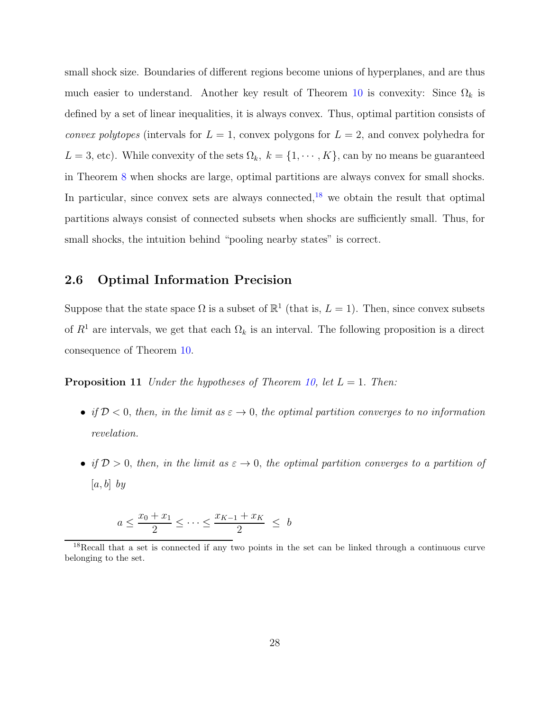small shock size. Boundaries of different regions become unions of hyperplanes, and are thus much easier to understand. Another key result of Theorem [10](#page-23-0) is convexity: Since  $\Omega_k$  is defined by a set of linear inequalities, it is always convex. Thus, optimal partition consists of *convex polytopes* (intervals for  $L = 1$ , convex polygons for  $L = 2$ , and convex polyhedra for  $L = 3$ , etc). While convexity of the sets  $\Omega_k$ ,  $k = \{1, \dots, K\}$ , can by no means be guaranteed in Theorem [8](#page-17-1) when shocks are large, optimal partitions are always convex for small shocks. In particular, since convex sets are always connected, $18$  we obtain the result that optimal partitions always consist of connected subsets when shocks are sufficiently small. Thus, for small shocks, the intuition behind "pooling nearby states" is correct.

#### 2.6 Optimal Information Precision

<span id="page-27-1"></span>Suppose that the state space  $\Omega$  is a subset of  $\mathbb{R}^1$  (that is,  $L = 1$ ). Then, since convex subsets of  $R<sup>1</sup>$  are intervals, we get that each  $\Omega<sub>k</sub>$  is an interval. The following proposition is a direct consequence of Theorem [10.](#page-23-0)

**Proposition 11** Under the hypotheses of Theorem [10,](#page-23-0) let  $L = 1$ . Then:

- if  $\mathcal{D}$  < 0, then, in the limit as  $\varepsilon \to 0$ , the optimal partition converges to no information revelation.
- if  $D > 0$ , then, in the limit as  $\varepsilon \to 0$ , the optimal partition converges to a partition of  $[a, b]$  by

$$
a\leq \frac{x_0+x_1}{2}\leq \cdots \leq \frac{x_{K-1}+x_K}{2} ~\leq~ b
$$

<span id="page-27-0"></span><sup>&</sup>lt;sup>18</sup>Recall that a set is connected if any two points in the set can be linked through a continuous curve belonging to the set.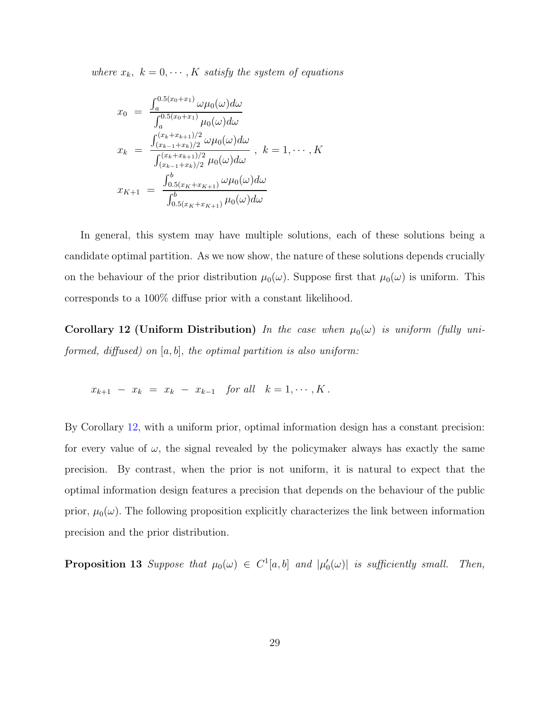where  $x_k$ ,  $k = 0, \dots, K$  satisfy the system of equations

$$
x_0 = \frac{\int_a^{0.5(x_0+x_1)} \omega \mu_0(\omega) d\omega}{\int_a^{0.5(x_0+x_1)} \mu_0(\omega) d\omega}
$$
  
\n
$$
x_k = \frac{\int_{(x_{k-1}+x_k)/2}^{(x_{k+1}+x_{k+1})/2} \omega \mu_0(\omega) d\omega}{\int_{(x_{k-1}+x_k)/2}^{(x_k+x_{k+1})/2} \mu_0(\omega) d\omega}, \quad k = 1, \cdots, K
$$
  
\n
$$
x_{K+1} = \frac{\int_0^b b_{0.5(x_K+x_{K+1})} \omega \mu_0(\omega) d\omega}{\int_0^b b_{0.5(x_K+x_{K+1})} \mu_0(\omega) d\omega}
$$

In general, this system may have multiple solutions, each of these solutions being a candidate optimal partition. As we now show, the nature of these solutions depends crucially on the behaviour of the prior distribution  $\mu_0(\omega)$ . Suppose first that  $\mu_0(\omega)$  is uniform. This corresponds to a 100% diffuse prior with a constant likelihood.

<span id="page-28-0"></span>Corollary 12 (Uniform Distribution) In the case when  $\mu_0(\omega)$  is uniform (fully uniformed, diffused) on  $[a, b]$ , the optimal partition is also uniform:

$$
x_{k+1} - x_k = x_k - x_{k-1} \text{ for all } k = 1, \cdots, K.
$$

By Corollary [12,](#page-28-0) with a uniform prior, optimal information design has a constant precision: for every value of  $\omega$ , the signal revealed by the policymaker always has exactly the same precision. By contrast, when the prior is not uniform, it is natural to expect that the optimal information design features a precision that depends on the behaviour of the public prior,  $\mu_0(\omega)$ . The following proposition explicitly characterizes the link between information precision and the prior distribution.

<span id="page-28-1"></span>**Proposition 13** Suppose that  $\mu_0(\omega) \in C^1[a, b]$  and  $|\mu'_0(\omega)|$  is sufficiently small. Then,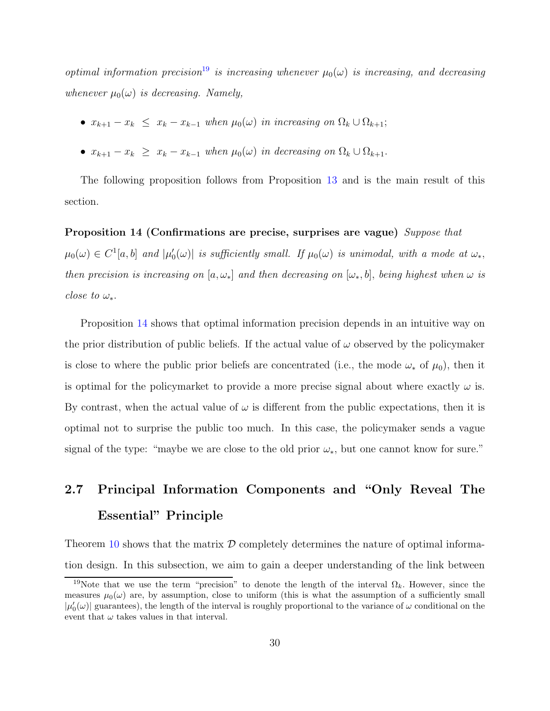optimal information precision<sup>[19](#page-29-1)</sup> is increasing whenever  $\mu_0(\omega)$  is increasing, and decreasing whenever  $\mu_0(\omega)$  is decreasing. Namely,

- $x_{k+1} x_k \leq x_k x_{k-1}$  when  $\mu_0(\omega)$  in increasing on  $\Omega_k \cup \Omega_{k+1}$ ;
- $x_{k+1} x_k \geq x_k x_{k-1}$  when  $\mu_0(\omega)$  in decreasing on  $\Omega_k \cup \Omega_{k+1}$ .

<span id="page-29-2"></span>The following proposition follows from Proposition [13](#page-28-1) and is the main result of this section.

#### Proposition 14 (Confirmations are precise, surprises are vague) Suppose that

 $\mu_0(\omega) \in C^1[a,b]$  and  $|\mu'_0(\omega)|$  is sufficiently small. If  $\mu_0(\omega)$  is unimodal, with a mode at  $\omega_*$ , then precision is increasing on  $[a, \omega_*]$  and then decreasing on  $[\omega_*, b]$ , being highest when  $\omega$  is close to  $\omega_*$ .

Proposition [14](#page-29-2) shows that optimal information precision depends in an intuitive way on the prior distribution of public beliefs. If the actual value of  $\omega$  observed by the policymaker is close to where the public prior beliefs are concentrated (i.e., the mode  $\omega_*$  of  $\mu_0$ ), then it is optimal for the policymarket to provide a more precise signal about where exactly  $\omega$  is. By contrast, when the actual value of  $\omega$  is different from the public expectations, then it is optimal not to surprise the public too much. In this case, the policymaker sends a vague signal of the type: "maybe we are close to the old prior  $\omega_*,$  but one cannot know for sure."

# <span id="page-29-0"></span>2.7 Principal Information Components and "Only Reveal The Essential" Principle

Theorem [10](#page-23-0) shows that the matrix  $\mathcal D$  completely determines the nature of optimal information design. In this subsection, we aim to gain a deeper understanding of the link between

<span id="page-29-1"></span><sup>&</sup>lt;sup>19</sup>Note that we use the term "precision" to denote the length of the interval  $\Omega_k$ . However, since the measures  $\mu_0(\omega)$  are, by assumption, close to uniform (this is what the assumption of a sufficiently small  $|\mu_0'(\omega)|$  guarantees), the length of the interval is roughly proportional to the variance of  $\omega$  conditional on the event that  $\omega$  takes values in that interval.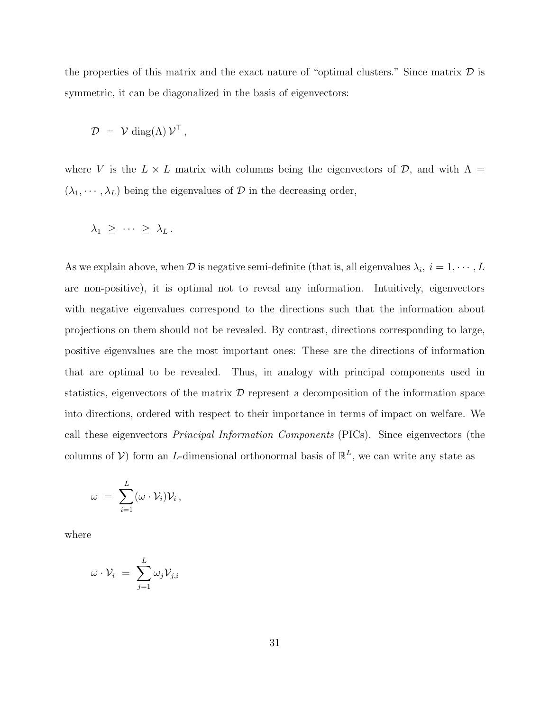the properties of this matrix and the exact nature of "optimal clusters." Since matrix  $\mathcal D$  is symmetric, it can be diagonalized in the basis of eigenvectors:

$$
\mathcal{D} = \mathcal{V} \operatorname{diag}(\Lambda) \mathcal{V}^{\top},
$$

where V is the  $L \times L$  matrix with columns being the eigenvectors of  $\mathcal{D}$ , and with  $\Lambda =$  $(\lambda_1, \dots, \lambda_L)$  being the eigenvalues of  $\mathcal D$  in the decreasing order,

$$
\lambda_1 \geq \cdots \geq \lambda_L.
$$

As we explain above, when  $\mathcal D$  is negative semi-definite (that is, all eigenvalues  $\lambda_i, i = 1, \cdots, L$ are non-positive), it is optimal not to reveal any information. Intuitively, eigenvectors with negative eigenvalues correspond to the directions such that the information about projections on them should not be revealed. By contrast, directions corresponding to large, positive eigenvalues are the most important ones: These are the directions of information that are optimal to be revealed. Thus, in analogy with principal components used in statistics, eigenvectors of the matrix  $\mathcal D$  represent a decomposition of the information space into directions, ordered with respect to their importance in terms of impact on welfare. We call these eigenvectors Principal Information Components (PICs). Since eigenvectors (the columns of  $V$ ) form an L-dimensional orthonormal basis of  $\mathbb{R}^L$ , we can write any state as

$$
\omega = \sum_{i=1}^L (\omega \cdot \mathcal{V}_i) \mathcal{V}_i \,,
$$

where

$$
\omega\cdot\mathcal{V}_i\,\,=\,\,\sum_{j=1}^L\omega_j\mathcal{V}_{j,i}
$$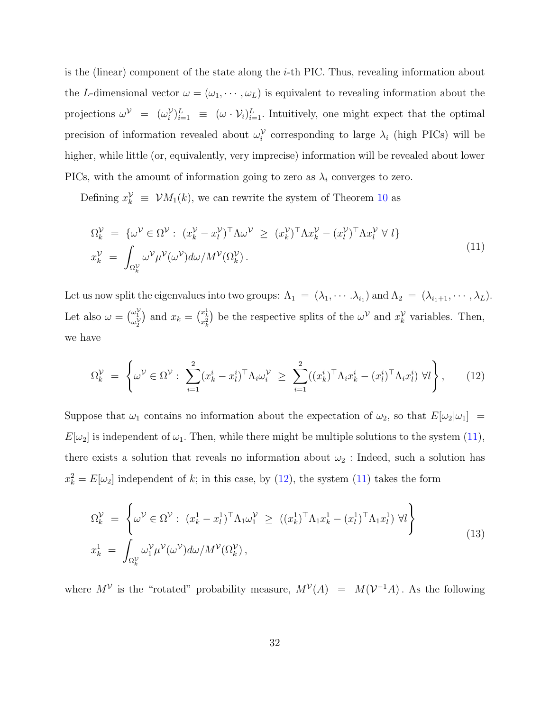is the (linear) component of the state along the  $i$ -th PIC. Thus, revealing information about the L-dimensional vector  $\omega = (\omega_1, \dots, \omega_L)$  is equivalent to revealing information about the projections  $\omega^{\mathcal{V}} = (\omega_i^{\mathcal{V}})_{i=1}^L \equiv (\omega \cdot \mathcal{V}_i)_{i=1}^L$ . Intuitively, one might expect that the optimal precision of information revealed about  $\omega_i^{\mathcal{V}}$  corresponding to large  $\lambda_i$  (high PICs) will be higher, while little (or, equivalently, very imprecise) information will be revealed about lower PICs, with the amount of information going to zero as  $\lambda_i$  converges to zero.

Defining  $x_k^{\mathcal{V}} \equiv \mathcal{V}M_1(k)$ , we can rewrite the system of Theorem [10](#page-23-0) as

<span id="page-31-0"></span>
$$
\Omega_k^{\mathcal{V}} = \{ \omega^{\mathcal{V}} \in \Omega^{\mathcal{V}} : (x_k^{\mathcal{V}} - x_l^{\mathcal{V}})^\top \Lambda \omega^{\mathcal{V}} \ge (x_k^{\mathcal{V}})^\top \Lambda x_k^{\mathcal{V}} - (x_l^{\mathcal{V}})^\top \Lambda x_l^{\mathcal{V}} \forall l \}
$$
\n
$$
x_k^{\mathcal{V}} = \int_{\Omega_k^{\mathcal{V}}} \omega^{\mathcal{V}} \mu^{\mathcal{V}}(\omega^{\mathcal{V}}) d\omega / M^{\mathcal{V}}(\Omega_k^{\mathcal{V}}).
$$
\n(11)

Let us now split the eigenvalues into two groups:  $\Lambda_1 = (\lambda_1, \cdots, \lambda_{i_1})$  and  $\Lambda_2 = (\lambda_{i_1+1}, \cdots, \lambda_L)$ . Let also  $\omega = \begin{pmatrix} \omega_1^{\mathcal{V}} \\ \omega_2^{\mathcal{V}} \end{pmatrix}$ ) and  $x_k = \binom{x_k^1}{x_k^2}$ ) be the respective splits of the  $\omega^{\mathcal{V}}$  and  $x_k^{\mathcal{V}}$  variables. Then, we have

<span id="page-31-1"></span>
$$
\Omega_k^{\mathcal{V}} = \left\{ \omega^{\mathcal{V}} \in \Omega^{\mathcal{V}} : \sum_{i=1}^2 (x_k^i - x_l^i)^{\top} \Lambda_i \omega_i^{\mathcal{V}} \ge \sum_{i=1}^2 ((x_k^i)^{\top} \Lambda_i x_k^i - (x_l^i)^{\top} \Lambda_i x_l^i) \ \forall l \right\},\tag{12}
$$

Suppose that  $\omega_1$  contains no information about the expectation of  $\omega_2$ , so that  $E[\omega_2|\omega_1]$  =  $E[\omega_2]$  is independent of  $\omega_1$ . Then, while there might be multiple solutions to the system [\(11\)](#page-31-0), there exists a solution that reveals no information about  $\omega_2$ : Indeed, such a solution has  $x_k^2 = E[\omega_2]$  independent of k; in this case, by [\(12\)](#page-31-1), the system [\(11\)](#page-31-0) takes the form

<span id="page-31-2"></span>
$$
\Omega_k^{\mathcal{V}} = \left\{ \omega^{\mathcal{V}} \in \Omega^{\mathcal{V}} : (x_k^1 - x_l^1)^\top \Lambda_1 \omega_1^{\mathcal{V}} \ge ((x_k^1)^\top \Lambda_1 x_k^1 - (x_l^1)^\top \Lambda_1 x_l^1) \ \forall l \right\}
$$
\n
$$
x_k^1 = \int_{\Omega_k^{\mathcal{V}}} \omega_1^{\mathcal{V}} \mu^{\mathcal{V}}(\omega^{\mathcal{V}}) d\omega / M^{\mathcal{V}}(\Omega_k^{\mathcal{V}}), \tag{13}
$$

where  $M^{\mathcal{V}}$  is the "rotated" probability measure,  $M^{\mathcal{V}}(A) = M(\mathcal{V}^{-1}A)$ . As the following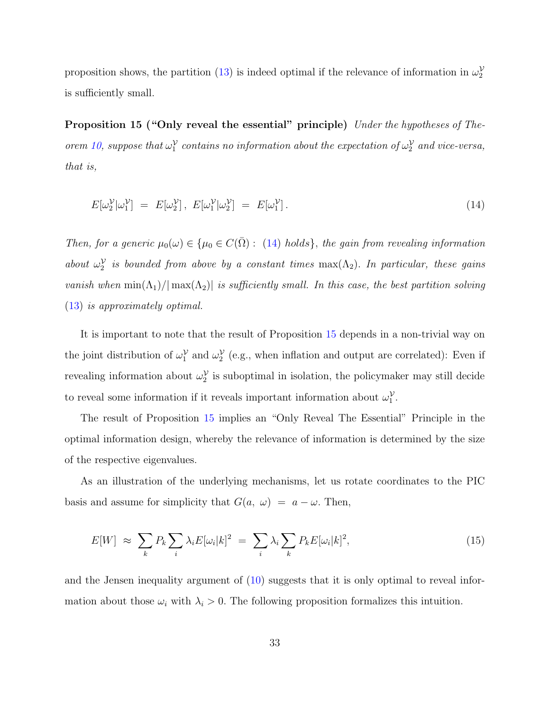<span id="page-32-0"></span>proposition shows, the partition [\(13\)](#page-31-2) is indeed optimal if the relevance of information in  $\omega_2^{\mathcal{V}}$ is sufficiently small.

Proposition 15 ("Only reveal the essential" principle) Under the hypotheses of The-orem [10,](#page-23-0) suppose that  $\omega_1^{\mathcal{V}}$  contains no information about the expectation of  $\omega_2^{\mathcal{V}}$  and vice-versa, that is,

<span id="page-32-1"></span>
$$
E[\omega_2^{\mathcal{V}}|\omega_1^{\mathcal{V}}] = E[\omega_2^{\mathcal{V}}], E[\omega_1^{\mathcal{V}}|\omega_2^{\mathcal{V}}] = E[\omega_1^{\mathcal{V}}]. \tag{14}
$$

Then, for a generic  $\mu_0(\omega) \in {\mu_0 \in C(\bar{\Omega}) : (14) holds}$  $\mu_0(\omega) \in {\mu_0 \in C(\bar{\Omega}) : (14) holds}$  $\mu_0(\omega) \in {\mu_0 \in C(\bar{\Omega}) : (14) holds}$ , the gain from revealing information about  $\omega_2^{\mathcal{V}}$  is bounded from above by a constant times  $\max(\Lambda_2)$ . In particular, these gains vanish when  $\min(\Lambda_1)/|\max(\Lambda_2)|$  is sufficiently small. In this case, the best partition solving [\(13\)](#page-31-2) is approximately optimal.

It is important to note that the result of Proposition [15](#page-32-0) depends in a non-trivial way on the joint distribution of  $\omega_1^{\mathcal{V}}$  and  $\omega_2^{\mathcal{V}}$  (e.g., when inflation and output are correlated): Even if revealing information about  $\omega_2^{\mathcal{V}}$  is suboptimal in isolation, the policymaker may still decide to reveal some information if it reveals important information about  $\omega_1^{\mathcal{V}}$ .

The result of Proposition [15](#page-32-0) implies an "Only Reveal The Essential" Principle in the optimal information design, whereby the relevance of information is determined by the size of the respective eigenvalues.

As an illustration of the underlying mechanisms, let us rotate coordinates to the PIC basis and assume for simplicity that  $G(a, \omega) = a - \omega$ . Then,

<span id="page-32-3"></span>
$$
E[W] \approx \sum_{k} P_k \sum_{i} \lambda_i E[\omega_i | k]^2 = \sum_{i} \lambda_i \sum_{k} P_k E[\omega_i | k]^2, \tag{15}
$$

<span id="page-32-2"></span>and the Jensen inequality argument of [\(10\)](#page-24-0) suggests that it is only optimal to reveal information about those  $\omega_i$  with  $\lambda_i > 0$ . The following proposition formalizes this intuition.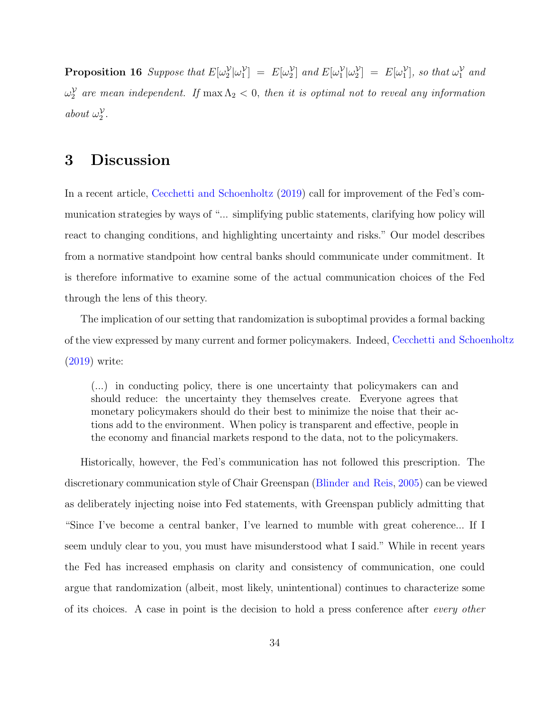**Proposition 16** Suppose that  $E[\omega_2^{\mathcal{V}}|\omega_1^{\mathcal{V}}] = E[\omega_2^{\mathcal{V}}]$  and  $E[\omega_1^{\mathcal{V}}|\omega_2^{\mathcal{V}}] = E[\omega_1^{\mathcal{V}}]$ , so that  $\omega_1^{\mathcal{V}}$  and  $\omega_2^{\mathcal{V}}$  are mean independent. If  $\max\Lambda_2 < 0$ , then it is optimal not to reveal any information about  $\omega_2^{\mathcal{V}}$ .

### 3 Discussion

In a recent article, [Cecchetti and Schoenholtz](#page-38-11) [\(2019](#page-38-11)) call for improvement of the Fed's communication strategies by ways of "... simplifying public statements, clarifying how policy will react to changing conditions, and highlighting uncertainty and risks." Our model describes from a normative standpoint how central banks should communicate under commitment. It is therefore informative to examine some of the actual communication choices of the Fed through the lens of this theory.

The implication of our setting that randomization is suboptimal provides a formal backing of the view expressed by many current and former policymakers. Indeed, [Cecchetti and Schoenholtz](#page-38-11) [\(2019\)](#page-38-11) write:

(...) in conducting policy, there is one uncertainty that policymakers can and should reduce: the uncertainty they themselves create. Everyone agrees that monetary policymakers should do their best to minimize the noise that their actions add to the environment. When policy is transparent and effective, people in the economy and financial markets respond to the data, not to the policymakers.

Historically, however, the Fed's communication has not followed this prescription. The discretionary communication style of Chair Greenspan [\(Blinder and Reis](#page-37-8), [2005\)](#page-37-8) can be viewed as deliberately injecting noise into Fed statements, with Greenspan publicly admitting that "Since I've become a central banker, I've learned to mumble with great coherence... If I seem unduly clear to you, you must have misunderstood what I said." While in recent years the Fed has increased emphasis on clarity and consistency of communication, one could argue that randomization (albeit, most likely, unintentional) continues to characterize some of its choices. A case in point is the decision to hold a press conference after every other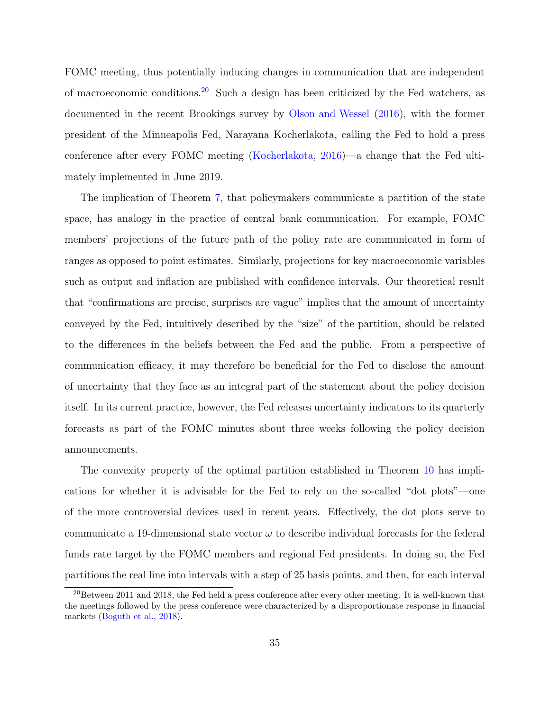FOMC meeting, thus potentially inducing changes in communication that are independent of macroeconomic conditions.[20](#page-34-0) Such a design has been criticized by the Fed watchers, as documented in the recent Brookings survey by [Olson and Wessel](#page-40-11) [\(2016\)](#page-40-11), with the former president of the Minneapolis Fed, Narayana Kocherlakota, calling the Fed to hold a press conference after every FOMC meeting [\(Kocherlakota,](#page-39-9) [2016\)](#page-39-9)—a change that the Fed ultimately implemented in June 2019.

The implication of Theorem [7,](#page-16-3) that policymakers communicate a partition of the state space, has analogy in the practice of central bank communication. For example, FOMC members' projections of the future path of the policy rate are communicated in form of ranges as opposed to point estimates. Similarly, projections for key macroeconomic variables such as output and inflation are published with confidence intervals. Our theoretical result that "confirmations are precise, surprises are vague" implies that the amount of uncertainty conveyed by the Fed, intuitively described by the "size" of the partition, should be related to the differences in the beliefs between the Fed and the public. From a perspective of communication efficacy, it may therefore be beneficial for the Fed to disclose the amount of uncertainty that they face as an integral part of the statement about the policy decision itself. In its current practice, however, the Fed releases uncertainty indicators to its quarterly forecasts as part of the FOMC minutes about three weeks following the policy decision announcements.

The convexity property of the optimal partition established in Theorem [10](#page-23-0) has implications for whether it is advisable for the Fed to rely on the so-called "dot plots"—one of the more controversial devices used in recent years. Effectively, the dot plots serve to communicate a 19-dimensional state vector  $\omega$  to describe individual forecasts for the federal funds rate target by the FOMC members and regional Fed presidents. In doing so, the Fed partitions the real line into intervals with a step of 25 basis points, and then, for each interval

<span id="page-34-0"></span><sup>&</sup>lt;sup>20</sup>Between 2011 and 2018, the Fed held a press conference after every other meeting. It is well-known that the meetings followed by the press conference were characterized by a disproportionate response in financial markets [\(Boguth et al.](#page-37-9), [2018](#page-37-9)).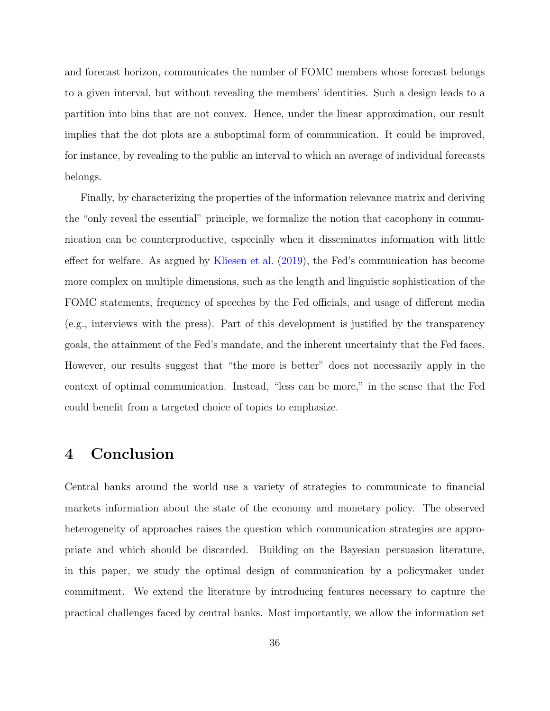and forecast horizon, communicates the number of FOMC members whose forecast belongs to a given interval, but without revealing the members' identities. Such a design leads to a partition into bins that are not convex. Hence, under the linear approximation, our result implies that the dot plots are a suboptimal form of communication. It could be improved, for instance, by revealing to the public an interval to which an average of individual forecasts belongs.

Finally, by characterizing the properties of the information relevance matrix and deriving the "only reveal the essential" principle, we formalize the notion that cacophony in communication can be counterproductive, especially when it disseminates information with little effect for welfare. As argued by [Kliesen et al.](#page-39-10) [\(2019\)](#page-39-10), the Fed's communication has become more complex on multiple dimensions, such as the length and linguistic sophistication of the FOMC statements, frequency of speeches by the Fed officials, and usage of different media (e.g., interviews with the press). Part of this development is justified by the transparency goals, the attainment of the Fed's mandate, and the inherent uncertainty that the Fed faces. However, our results suggest that "the more is better" does not necessarily apply in the context of optimal communication. Instead, "less can be more," in the sense that the Fed could benefit from a targeted choice of topics to emphasize.

### 4 Conclusion

Central banks around the world use a variety of strategies to communicate to financial markets information about the state of the economy and monetary policy. The observed heterogeneity of approaches raises the question which communication strategies are appropriate and which should be discarded. Building on the Bayesian persuasion literature, in this paper, we study the optimal design of communication by a policymaker under commitment. We extend the literature by introducing features necessary to capture the practical challenges faced by central banks. Most importantly, we allow the information set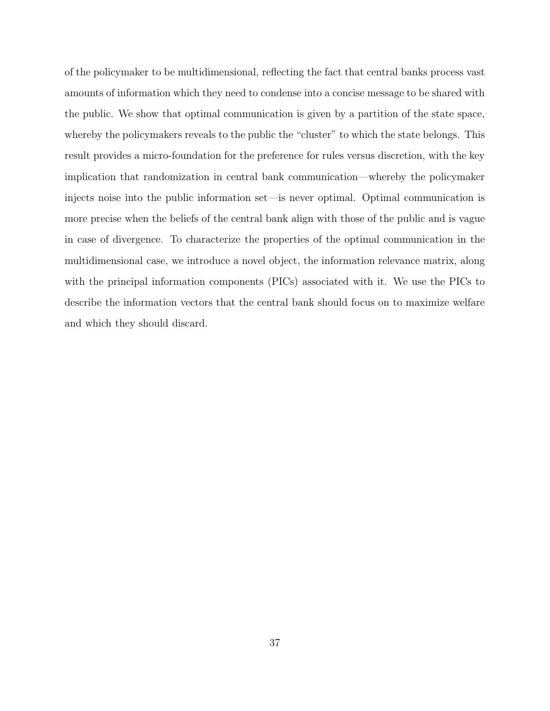of the policymaker to be multidimensional, reflecting the fact that central banks process vast amounts of information which they need to condense into a concise message to be shared with the public. We show that optimal communication is given by a partition of the state space, whereby the policymakers reveals to the public the "cluster" to which the state belongs. This result provides a micro-foundation for the preference for rules versus discretion, with the key implication that randomization in central bank communication—whereby the policymaker injects noise into the public information set—is never optimal. Optimal communication is more precise when the beliefs of the central bank align with those of the public and is vague in case of divergence. To characterize the properties of the optimal communication in the multidimensional case, we introduce a novel object, the information relevance matrix, along with the principal information components (PICs) associated with it. We use the PICs to describe the information vectors that the central bank should focus on to maximize welfare and which they should discard.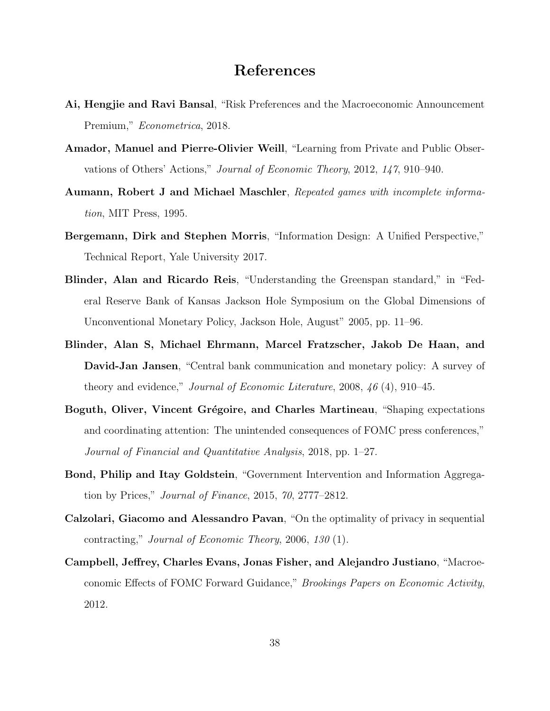### References

- <span id="page-37-2"></span>Ai, Hengjie and Ravi Bansal, "Risk Preferences and the Macroeconomic Announcement Premium," Econometrica, 2018.
- <span id="page-37-7"></span>Amador, Manuel and Pierre-Olivier Weill, "Learning from Private and Public Observations of Others' Actions," Journal of Economic Theory, 2012, 147, 910–940.
- <span id="page-37-4"></span>Aumann, Robert J and Michael Maschler, Repeated games with incomplete information, MIT Press, 1995.
- <span id="page-37-0"></span>Bergemann, Dirk and Stephen Morris, "Information Design: A Unified Perspective," Technical Report, Yale University 2017.
- <span id="page-37-8"></span>Blinder, Alan and Ricardo Reis, "Understanding the Greenspan standard," in "Federal Reserve Bank of Kansas Jackson Hole Symposium on the Global Dimensions of Unconventional Monetary Policy, Jackson Hole, August" 2005, pp. 11–96.
- <span id="page-37-1"></span>Blinder, Alan S, Michael Ehrmann, Marcel Fratzscher, Jakob De Haan, and David-Jan Jansen, "Central bank communication and monetary policy: A survey of theory and evidence," *Journal of Economic Literature*, 2008,  $\mu$  (4), 910–45.
- <span id="page-37-9"></span>Boguth, Oliver, Vincent Grégoire, and Charles Martineau, "Shaping expectations and coordinating attention: The unintended consequences of FOMC press conferences," Journal of Financial and Quantitative Analysis, 2018, pp. 1–27.
- <span id="page-37-6"></span>Bond, Philip and Itay Goldstein, "Government Intervention and Information Aggregation by Prices," Journal of Finance, 2015, 70, 2777–2812.
- <span id="page-37-5"></span>Calzolari, Giacomo and Alessandro Pavan, "On the optimality of privacy in sequential contracting," Journal of Economic Theory, 2006, 130 (1).
- <span id="page-37-3"></span>Campbell, Jeffrey, Charles Evans, Jonas Fisher, and Alejandro Justiano, "Macroeconomic Effects of FOMC Forward Guidance," Brookings Papers on Economic Activity, 2012.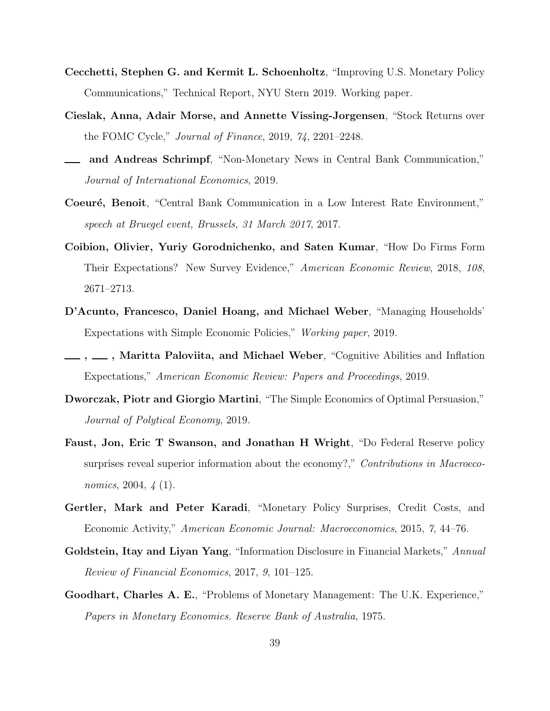- <span id="page-38-11"></span>Cecchetti, Stephen G. and Kermit L. Schoenholtz, "Improving U.S. Monetary Policy Communications," Technical Report, NYU Stern 2019. Working paper.
- <span id="page-38-1"></span>Cieslak, Anna, Adair Morse, and Annette Vissing-Jorgensen, "Stock Returns over the FOMC Cycle," Journal of Finance, 2019, 74, 2201–2248.
- <span id="page-38-2"></span>and Andreas Schrimpf, "Non-Monetary News in Central Bank Communication," Journal of International Economics, 2019.
- <span id="page-38-7"></span>Coeuré, Benoit, "Central Bank Communication in a Low Interest Rate Environment," speech at Bruegel event, Brussels, 31 March 2017, 2017.
- <span id="page-38-4"></span>Coibion, Olivier, Yuriy Gorodnichenko, and Saten Kumar, "How Do Firms Form Their Expectations? New Survey Evidence," American Economic Review, 2018, 108, 2671–2713.
- <span id="page-38-5"></span>D'Acunto, Francesco, Daniel Hoang, and Michael Weber, "Managing Households' Expectations with Simple Economic Policies," Working paper, 2019.
- <span id="page-38-6"></span>., ......, Maritta Paloviita, and Michael Weber, "Cognitive Abilities and Inflation Expectations," American Economic Review: Papers and Proceedings, 2019.
- <span id="page-38-10"></span>Dworczak, Piotr and Giorgio Martini, "The Simple Economics of Optimal Persuasion," Journal of Polytical Economy, 2019.
- <span id="page-38-0"></span>Faust, Jon, Eric T Swanson, and Jonathan H Wright, "Do Federal Reserve policy surprises reveal superior information about the economy?," Contributions in Macroeconomics, 2004, 4 (1).
- <span id="page-38-3"></span>Gertler, Mark and Peter Karadi, "Monetary Policy Surprises, Credit Costs, and Economic Activity," American Economic Journal: Macroeconomics, 2015, 7, 44–76.
- <span id="page-38-9"></span>Goldstein, Itay and Liyan Yang, "Information Disclosure in Financial Markets," Annual Review of Financial Economics, 2017, 9, 101–125.
- <span id="page-38-8"></span>Goodhart, Charles A. E., "Problems of Monetary Management: The U.K. Experience," Papers in Monetary Economics. Reserve Bank of Australia, 1975.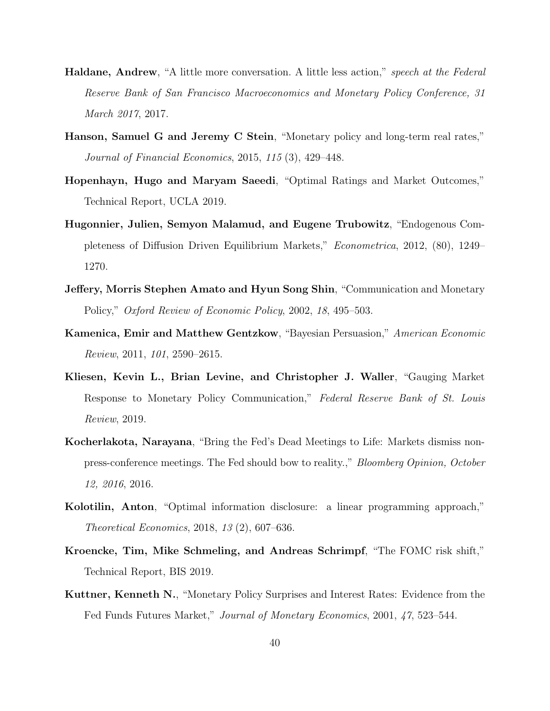- <span id="page-39-4"></span>Haldane, Andrew, "A little more conversation. A little less action," speech at the Federal Reserve Bank of San Francisco Macroeconomics and Monetary Policy Conference, 31 March 2017, 2017.
- <span id="page-39-2"></span>Hanson, Samuel G and Jeremy C Stein, "Monetary policy and long-term real rates," Journal of Financial Economics, 2015, 115 (3), 429–448.
- <span id="page-39-6"></span>Hopenhayn, Hugo and Maryam Saeedi, "Optimal Ratings and Market Outcomes," Technical Report, UCLA 2019.
- <span id="page-39-8"></span>Hugonnier, Julien, Semyon Malamud, and Eugene Trubowitz, "Endogenous Completeness of Diffusion Driven Equilibrium Markets," Econometrica, 2012, (80), 1249– 1270.
- <span id="page-39-7"></span>Jeffery, Morris Stephen Amato and Hyun Song Shin, "Communication and Monetary Policy," Oxford Review of Economic Policy, 2002, 18, 495–503.
- <span id="page-39-0"></span>Kamenica, Emir and Matthew Gentzkow, "Bayesian Persuasion," American Economic Review, 2011, 101, 2590–2615.
- <span id="page-39-10"></span>Kliesen, Kevin L., Brian Levine, and Christopher J. Waller, "Gauging Market Response to Monetary Policy Communication," Federal Reserve Bank of St. Louis Review, 2019.
- <span id="page-39-9"></span>Kocherlakota, Narayana, "Bring the Fed's Dead Meetings to Life: Markets dismiss nonpress-conference meetings. The Fed should bow to reality.," Bloomberg Opinion, October 12, 2016, 2016.
- <span id="page-39-5"></span>Kolotilin, Anton, "Optimal information disclosure: a linear programming approach," Theoretical Economics, 2018, 13 (2), 607–636.
- <span id="page-39-3"></span>Kroencke, Tim, Mike Schmeling, and Andreas Schrimpf, "The FOMC risk shift," Technical Report, BIS 2019.
- <span id="page-39-1"></span>Kuttner, Kenneth N., "Monetary Policy Surprises and Interest Rates: Evidence from the Fed Funds Futures Market," Journal of Monetary Economics, 2001, 47, 523–544.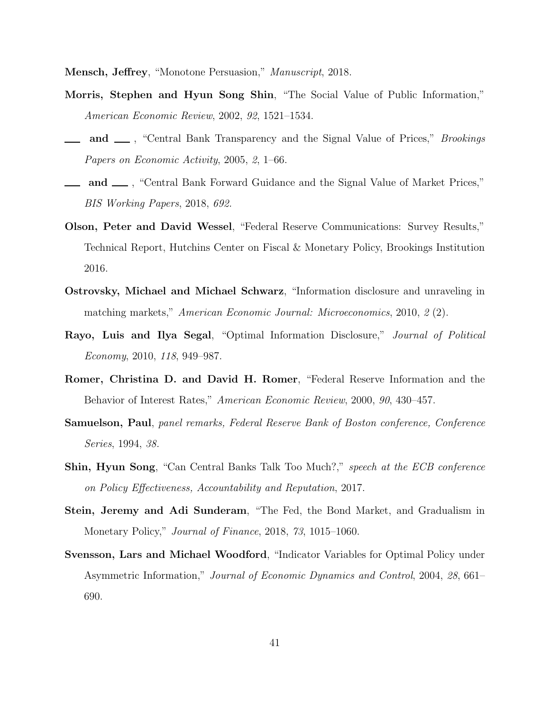<span id="page-40-10"></span><span id="page-40-5"></span>Mensch, Jeffrey, "Monotone Persuasion," Manuscript, 2018.

- Morris, Stephen and Hyun Song Shin, "The Social Value of Public Information," American Economic Review, 2002, 92, 1521–1534.
- <span id="page-40-9"></span>and  $\Box$ , "Central Bank Transparency and the Signal Value of Prices," *Brookings* Papers on Economic Activity, 2005, 2, 1–66.
- <span id="page-40-1"></span>and <sub>1</sub>, "Central Bank Forward Guidance and the Signal Value of Market Prices," BIS Working Papers, 2018, 692.
- <span id="page-40-11"></span>Olson, Peter and David Wessel, "Federal Reserve Communications: Survey Results," Technical Report, Hutchins Center on Fiscal & Monetary Policy, Brookings Institution 2016.
- <span id="page-40-6"></span>Ostrovsky, Michael and Michael Schwarz, "Information disclosure and unraveling in matching markets," American Economic Journal: Microeconomics, 2010, 2 (2).
- <span id="page-40-2"></span>Rayo, Luis and Ilya Segal, "Optimal Information Disclosure," Journal of Political Economy, 2010, 118, 949–987.
- <span id="page-40-4"></span>Romer, Christina D. and David H. Romer, "Federal Reserve Information and the Behavior of Interest Rates," American Economic Review, 2000, 90, 430–457.
- <span id="page-40-7"></span>Samuelson, Paul, panel remarks, Federal Reserve Bank of Boston conference, Conference Series, 1994, 38.
- <span id="page-40-0"></span>Shin, Hyun Song, "Can Central Banks Talk Too Much?," speech at the ECB conference on Policy Effectiveness, Accountability and Reputation, 2017.
- <span id="page-40-3"></span>Stein, Jeremy and Adi Sunderam, "The Fed, the Bond Market, and Gradualism in Monetary Policy," *Journal of Finance*, 2018, 73, 1015–1060.
- <span id="page-40-8"></span>Svensson, Lars and Michael Woodford, "Indicator Variables for Optimal Policy under Asymmetric Information," Journal of Economic Dynamics and Control, 2004, 28, 661– 690.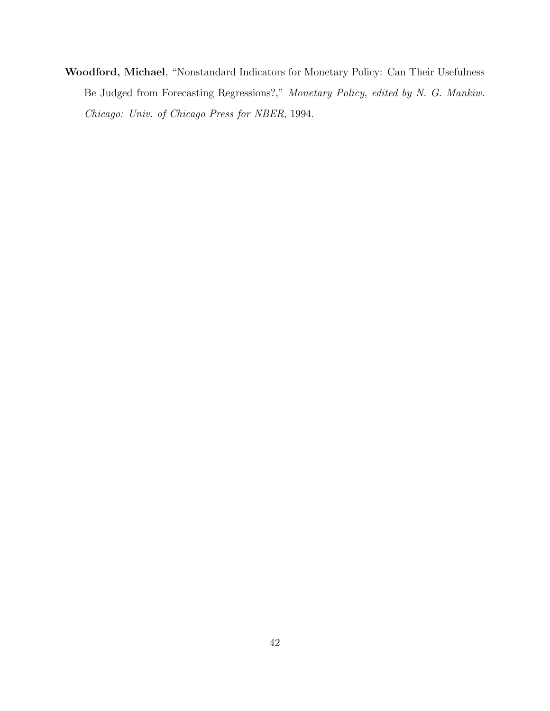<span id="page-41-0"></span>Woodford, Michael, "Nonstandard Indicators for Monetary Policy: Can Their Usefulness Be Judged from Forecasting Regressions?," Monetary Policy, edited by N. G. Mankiw. Chicago: Univ. of Chicago Press for NBER, 1994.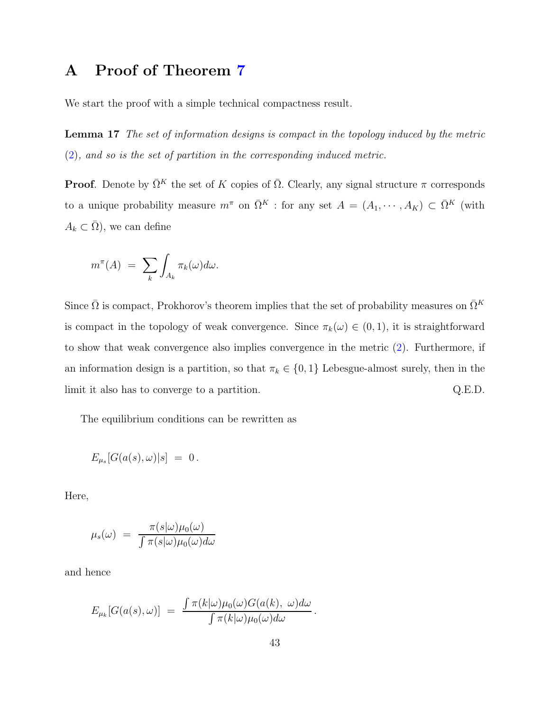### A Proof of Theorem [7](#page-16-3)

<span id="page-42-0"></span>We start the proof with a simple technical compactness result.

Lemma 17 The set of information designs is compact in the topology induced by the metric [\(2\)](#page-11-0), and so is the set of partition in the corresponding induced metric.

**Proof.** Denote by  $\overline{\Omega}^K$  the set of K copies of  $\overline{\Omega}$ . Clearly, any signal structure  $\pi$  corresponds to a unique probability measure  $m^{\pi}$  on  $\overline{\Omega}^{K}$  : for any set  $A = (A_1, \dots, A_K) \subset \overline{\Omega}^{K}$  (with  $A_k \subset \overline{\Omega}$ , we can define

$$
m^{\pi}(A) = \sum_{k} \int_{A_k} \pi_k(\omega) d\omega.
$$

Since  $\bar{\Omega}$  is compact, Prokhorov's theorem implies that the set of probability measures on  $\bar{\Omega}^K$ is compact in the topology of weak convergence. Since  $\pi_k(\omega) \in (0,1)$ , it is straightforward to show that weak convergence also implies convergence in the metric [\(2\)](#page-11-0). Furthermore, if an information design is a partition, so that  $\pi_k \in \{0, 1\}$  Lebesgue-almost surely, then in the limit it also has to converge to a partition. Q.E.D.

The equilibrium conditions can be rewritten as

$$
E_{\mu_s}[G(a(s),\omega)|s] = 0.
$$

Here,

$$
\mu_s(\omega) = \frac{\pi(s|\omega)\mu_0(\omega)}{\int \pi(s|\omega)\mu_0(\omega)d\omega}
$$

and hence

$$
E_{\mu_k}[G(a(s),\omega)] = \frac{\int \pi(k|\omega)\mu_0(\omega)G(a(k), \omega)d\omega}{\int \pi(k|\omega)\mu_0(\omega)d\omega}.
$$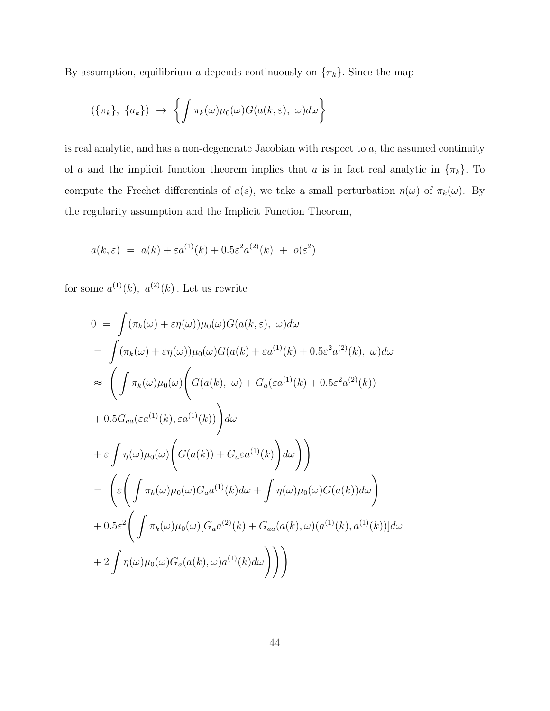By assumption, equilibrium a depends continuously on  $\{\pi_k\}$ . Since the map

$$
(\{\pi_k\}, \{a_k\}) \rightarrow \left\{ \int \pi_k(\omega) \mu_0(\omega) G(a(k, \varepsilon), \omega) d\omega \right\}
$$

is real analytic, and has a non-degenerate Jacobian with respect to  $a$ , the assumed continuity of a and the implicit function theorem implies that a is in fact real analytic in  $\{\pi_k\}$ . To compute the Frechet differentials of  $a(s)$ , we take a small perturbation  $\eta(\omega)$  of  $\pi_k(\omega)$ . By the regularity assumption and the Implicit Function Theorem,

$$
a(k,\varepsilon) = a(k) + \varepsilon a^{(1)}(k) + 0.5\varepsilon^2 a^{(2)}(k) + o(\varepsilon^2)
$$

for some  $a^{(1)}(k)$ ,  $a^{(2)}(k)$ . Let us rewrite

$$
0 = \int (\pi_k(\omega) + \varepsilon \eta(\omega)) \mu_0(\omega) G(a(k, \varepsilon), \omega) d\omega
$$
  
\n
$$
= \int (\pi_k(\omega) + \varepsilon \eta(\omega)) \mu_0(\omega) G(a(k) + \varepsilon a^{(1)}(k) + 0.5\varepsilon^2 a^{(2)}(k), \omega) d\omega
$$
  
\n
$$
\approx \left( \int \pi_k(\omega) \mu_0(\omega) \left( G(a(k), \omega) + G_a(\varepsilon a^{(1)}(k) + 0.5\varepsilon^2 a^{(2)}(k)) \right) \right. \\
\left. + 0.5 G_{aa}(\varepsilon a^{(1)}(k), \varepsilon a^{(1)}(k)) \right) d\omega
$$
  
\n
$$
+ \varepsilon \int \eta(\omega) \mu_0(\omega) \left( G(a(k)) + G_a \varepsilon a^{(1)}(k) \right) d\omega \right)
$$
  
\n
$$
= \left( \varepsilon \left( \int \pi_k(\omega) \mu_0(\omega) G_a a^{(1)}(k) d\omega + \int \eta(\omega) \mu_0(\omega) G(a(k)) d\omega \right) \right.
$$
  
\n
$$
+ 0.5\varepsilon^2 \left( \int \pi_k(\omega) \mu_0(\omega) [G_a a^{(2)}(k) + G_{aa}(a(k), \omega) (a^{(1)}(k), a^{(1)}(k))] d\omega
$$
  
\n
$$
+ 2 \int \eta(\omega) \mu_0(\omega) G_a(a(k), \omega) a^{(1)}(k) d\omega \right) \right)
$$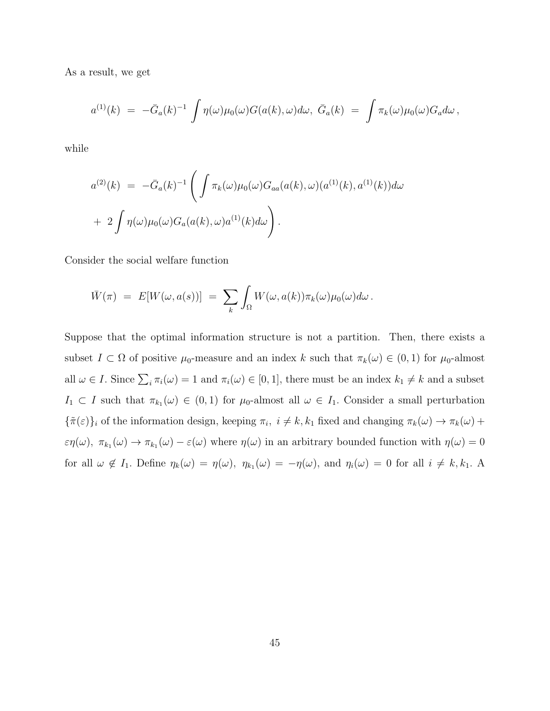As a result, we get

$$
a^{(1)}(k) \,\,=\,\, -\bar{G}_a(k)^{-1} \,\int \eta(\omega) \mu_0(\omega) G(a(k),\omega) d\omega, \,\, \bar{G}_a(k) \,\,=\,\, \int \pi_k(\omega) \mu_0(\omega) G_a d\omega \,,
$$

while

$$
a^{(2)}(k) = -\bar{G}_a(k)^{-1} \left( \int \pi_k(\omega) \mu_0(\omega) G_{aa}(a(k), \omega) (a^{(1)}(k), a^{(1)}(k)) d\omega + 2 \int \eta(\omega) \mu_0(\omega) G_a(a(k), \omega) a^{(1)}(k) d\omega \right).
$$

Consider the social welfare function

$$
\bar{W}(\pi) = E[W(\omega, a(s))] = \sum_{k} \int_{\Omega} W(\omega, a(k)) \pi_{k}(\omega) \mu_{0}(\omega) d\omega.
$$

Suppose that the optimal information structure is not a partition. Then, there exists a subset  $I \subset \Omega$  of positive  $\mu_0$ -measure and an index k such that  $\pi_k(\omega) \in (0,1)$  for  $\mu_0$ -almost all  $\omega \in I$ . Since  $\sum_i \pi_i(\omega) = 1$  and  $\pi_i(\omega) \in [0, 1]$ , there must be an index  $k_1 \neq k$  and a subset  $I_1 \subset I$  such that  $\pi_{k_1}(\omega) \in (0,1)$  for  $\mu_0$ -almost all  $\omega \in I_1$ . Consider a small perturbation  ${\lbrace \tilde{\pi}(\varepsilon) \rbrace_i}$  of the information design, keeping  $\pi_i$ ,  $i \neq k, k_1$  fixed and changing  $\pi_k(\omega) \to \pi_k(\omega) +$  $\varepsilon\eta(\omega), \pi_{k_1}(\omega) \to \pi_{k_1}(\omega) - \varepsilon(\omega)$  where  $\eta(\omega)$  in an arbitrary bounded function with  $\eta(\omega) = 0$ for all  $\omega \notin I_1$ . Define  $\eta_k(\omega) = \eta(\omega)$ ,  $\eta_{k_1}(\omega) = -\eta(\omega)$ , and  $\eta_i(\omega) = 0$  for all  $i \neq k, k_1$ . A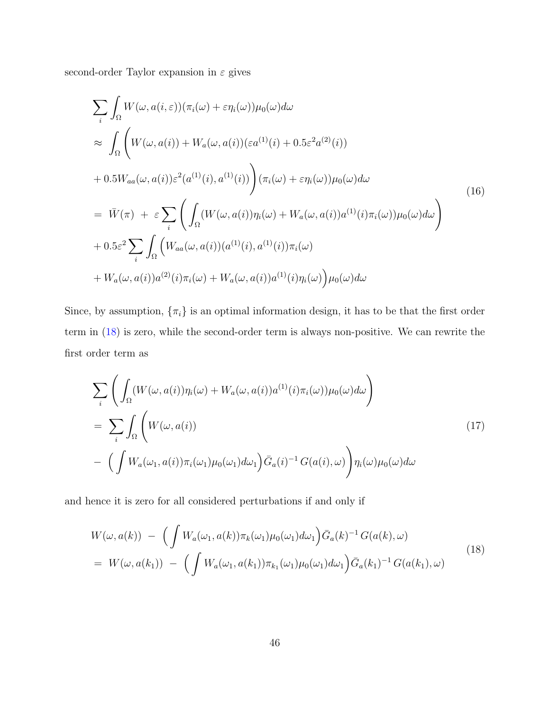second-order Taylor expansion in  $\varepsilon$  gives

$$
\sum_{i} \int_{\Omega} W(\omega, a(i, \varepsilon)) (\pi_i(\omega) + \varepsilon \eta_i(\omega)) \mu_0(\omega) d\omega
$$
\n
$$
\approx \int_{\Omega} \left( W(\omega, a(i)) + W_a(\omega, a(i)) (\varepsilon a^{(1)}(i) + 0.5\varepsilon^2 a^{(2)}(i)) + 0.5W_{aa}(\omega, a(i)) \varepsilon^2 (a^{(1)}(i), a^{(1)}(i)) \right) (\pi_i(\omega) + \varepsilon \eta_i(\omega)) \mu_0(\omega) d\omega
$$
\n
$$
= \bar{W}(\pi) + \varepsilon \sum_{i} \left( \int_{\Omega} (W(\omega, a(i)) \eta_i(\omega) + W_a(\omega, a(i)) a^{(1)}(i) \pi_i(\omega)) \mu_0(\omega) d\omega \right)
$$
\n
$$
+ 0.5\varepsilon^2 \sum_{i} \int_{\Omega} \left( W_{aa}(\omega, a(i)) (a^{(1)}(i), a^{(1)}(i)) \pi_i(\omega) + W_a(\omega, a(i)) a^{(2)}(i) \pi_i(\omega) + W_a(\omega, a(i)) a^{(1)}(i) \eta_i(\omega) \right) \mu_0(\omega) d\omega
$$
\n(16)

Since, by assumption,  $\{\pi_i\}$  is an optimal information design, it has to be that the first order term in [\(18\)](#page-45-0) is zero, while the second-order term is always non-positive. We can rewrite the first order term as

$$
\sum_{i} \left( \int_{\Omega} (W(\omega, a(i)) \eta_i(\omega) + W_a(\omega, a(i)) a^{(1)}(i) \pi_i(\omega)) \mu_0(\omega) d\omega \right)
$$
  
= 
$$
\sum_{i} \int_{\Omega} \left( W(\omega, a(i)) - \left( \int W_a(\omega_1, a(i)) \pi_i(\omega_1) \mu_0(\omega_1) d\omega_1 \right) \bar{G}_a(i)^{-1} G(a(i), \omega) \right) \eta_i(\omega) \mu_0(\omega) d\omega
$$
 (17)

and hence it is zero for all considered perturbations if and only if

<span id="page-45-0"></span>
$$
W(\omega, a(k)) - \left( \int W_a(\omega_1, a(k)) \pi_k(\omega_1) \mu_0(\omega_1) d\omega_1 \right) \bar{G}_a(k)^{-1} G(a(k), \omega)
$$
  
=  $W(\omega, a(k_1)) - \left( \int W_a(\omega_1, a(k_1)) \pi_{k_1}(\omega_1) \mu_0(\omega_1) d\omega_1 \right) \bar{G}_a(k_1)^{-1} G(a(k_1), \omega)$  (18)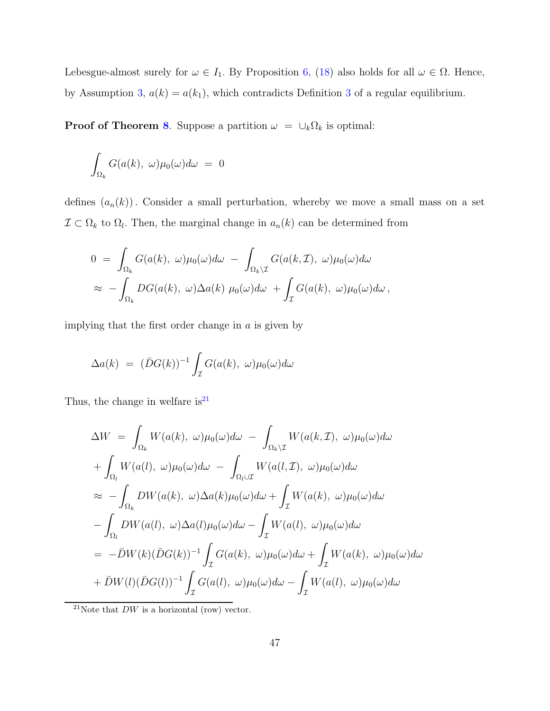Lebesgue-almost surely for  $\omega \in I_1$ . By Proposition [6,](#page-16-2) [\(18\)](#page-45-0) also holds for all  $\omega \in \Omega$ . Hence, by Assumption [3,](#page-16-1)  $a(k) = a(k_1)$ , which contradicts Definition [3](#page-14-0) of a regular equilibrium.

**Proof of Theorem [8](#page-17-1).** Suppose a partition  $\omega = \bigcup_k \Omega_k$  is optimal:

$$
\int_{\Omega_k} G(a(k), \ \omega) \mu_0(\omega) d\omega = 0
$$

defines  $(a_n(k))$ . Consider a small perturbation, whereby we move a small mass on a set  $\mathcal{I} \subset \Omega_k$  to  $\Omega_l$ . Then, the marginal change in  $a_n(k)$  can be determined from

$$
0 = \int_{\Omega_k} G(a(k), \omega) \mu_0(\omega) d\omega - \int_{\Omega_k \backslash \mathcal{I}} G(a(k, \mathcal{I}), \omega) \mu_0(\omega) d\omega
$$
  
 
$$
\approx - \int_{\Omega_k} DG(a(k), \omega) \Delta a(k) \mu_0(\omega) d\omega + \int_{\mathcal{I}} G(a(k), \omega) \mu_0(\omega) d\omega,
$$

implying that the first order change in  $a$  is given by

$$
\Delta a(k) = (\bar{D}G(k))^{-1} \int_{\mathcal{I}} G(a(k), \ \omega) \mu_0(\omega) d\omega
$$

Thus, the change in welfare is $^{21}$  $^{21}$  $^{21}$ 

$$
\Delta W = \int_{\Omega_k} W(a(k), \omega) \mu_0(\omega) d\omega - \int_{\Omega_k \setminus \mathcal{I}} W(a(k, \mathcal{I}), \omega) \mu_0(\omega) d\omega \n+ \int_{\Omega_l} W(a(l), \omega) \mu_0(\omega) d\omega - \int_{\Omega_l \cup \mathcal{I}} W(a(l, \mathcal{I}), \omega) \mu_0(\omega) d\omega \n\approx - \int_{\Omega_k} DW(a(k), \omega) \Delta a(k) \mu_0(\omega) d\omega + \int_{\mathcal{I}} W(a(k), \omega) \mu_0(\omega) d\omega \n- \int_{\Omega_l} DW(a(l), \omega) \Delta a(l) \mu_0(\omega) d\omega - \int_{\mathcal{I}} W(a(l), \omega) \mu_0(\omega) d\omega \n= -\bar{D}W(k) (\bar{D}G(k))^{-1} \int_{\mathcal{I}} G(a(k), \omega) \mu_0(\omega) d\omega + \int_{\mathcal{I}} W(a(k), \omega) \mu_0(\omega) d\omega \n+ \bar{D}W(l) (\bar{D}G(l))^{-1} \int_{\mathcal{I}} G(a(l), \omega) \mu_0(\omega) d\omega - \int_{\mathcal{I}} W(a(l), \omega) \mu_0(\omega) d\omega
$$

<span id="page-46-0"></span><sup>21</sup>Note that  $DW$  is a horizontal (row) vector.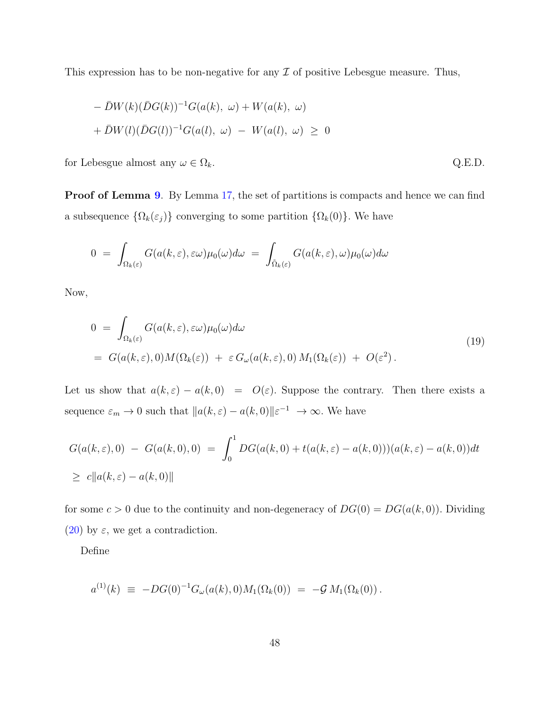This expression has to be non-negative for any  $\mathcal I$  of positive Lebesgue measure. Thus,

$$
- \bar{D}W(k)(\bar{D}G(k))^{-1}G(a(k), \omega) + W(a(k), \omega) + \bar{D}W(l)(\bar{D}G(l))^{-1}G(a(l), \omega) - W(a(l), \omega) \ge 0
$$

for Lebesgue almost any  $\omega \in \Omega_k$ . Q.E.D.

**Proof of Lemma [9](#page-22-0).** By Lemma [17,](#page-42-0) the set of partitions is compacts and hence we can find a subsequence  $\{\Omega_k(\varepsilon_j)\}\)$  converging to some partition  $\{\Omega_k(0)\}\$ . We have

$$
0 = \int_{\Omega_k(\varepsilon)} G(a(k,\varepsilon),\varepsilon\omega)\mu_0(\omega)d\omega = \int_{\tilde{\Omega}_k(\varepsilon)} G(a(k,\varepsilon),\omega)\mu_0(\omega)d\omega
$$

Now,

$$
0 = \int_{\Omega_k(\varepsilon)} G(a(k,\varepsilon),\varepsilon\omega)\mu_0(\omega)d\omega
$$
  
=  $G(a(k,\varepsilon),0)M(\Omega_k(\varepsilon)) + \varepsilon G_\omega(a(k,\varepsilon),0)M_1(\Omega_k(\varepsilon)) + O(\varepsilon^2).$  (19)

Let us show that  $a(k, \varepsilon) - a(k, 0) = O(\varepsilon)$ . Suppose the contrary. Then there exists a sequence  $\varepsilon_m \to 0$  such that  $||a(k, \varepsilon) - a(k, 0)||\varepsilon^{-1} \to \infty$ . We have

$$
G(a(k,\varepsilon),0) - G(a(k,0),0) = \int_0^1 DG(a(k,0) + t(a(k,\varepsilon) - a(k,0)))(a(k,\varepsilon) - a(k,0))dt
$$
  
 
$$
\geq c||a(k,\varepsilon) - a(k,0)||
$$

for some  $c > 0$  due to the continuity and non-degeneracy of  $DG(0) = DG(a(k, 0))$ . Dividing [\(20\)](#page-48-0) by  $\varepsilon$ , we get a contradiction.

Define

$$
a^{(1)}(k) \ \equiv \ -DG(0)^{-1}G_{\omega}(a(k),0)M_1(\Omega_k(0)) \ = \ -\mathcal{G}M_1(\Omega_k(0))\,.
$$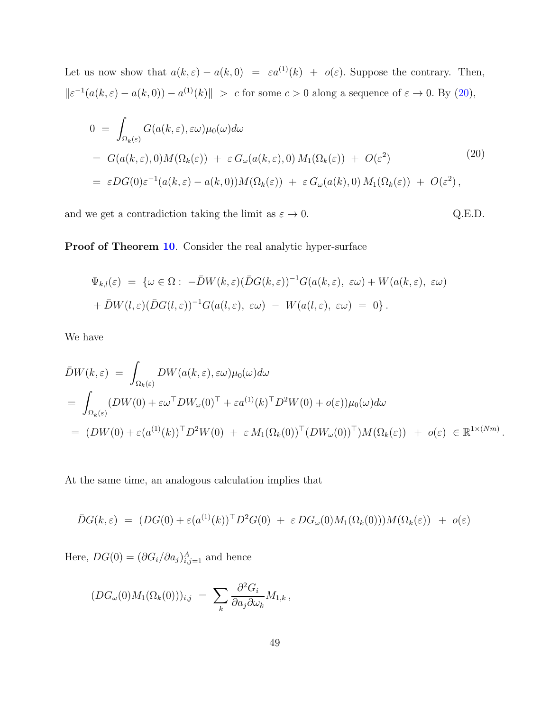Let us now show that  $a(k, \varepsilon) - a(k, 0) = \varepsilon a^{(1)}(k) + o(\varepsilon)$ . Suppose the contrary. Then,  $\|\varepsilon^{-1}(a(k,\varepsilon)-a(k,0)) - a^{(1)}(k)\| > c$  for some  $c > 0$  along a sequence of  $\varepsilon \to 0$ . By [\(20\)](#page-48-0),

<span id="page-48-0"></span>
$$
0 = \int_{\Omega_k(\varepsilon)} G(a(k,\varepsilon),\varepsilon\omega)\mu_0(\omega)d\omega
$$
  
=  $G(a(k,\varepsilon),0)M(\Omega_k(\varepsilon)) + \varepsilon G_\omega(a(k,\varepsilon),0) M_1(\Omega_k(\varepsilon)) + O(\varepsilon^2)$   
=  $\varepsilon DG(0)\varepsilon^{-1}(a(k,\varepsilon) - a(k,0))M(\Omega_k(\varepsilon)) + \varepsilon G_\omega(a(k),0) M_1(\Omega_k(\varepsilon)) + O(\varepsilon^2),$  (20)

and we get a contradiction taking the limit as  $\varepsilon \to 0$ . Q.E.D.

Proof of Theorem [10](#page-23-0). Consider the real analytic hyper-surface

$$
\Psi_{k,l}(\varepsilon) = \{ \omega \in \Omega : -\bar{D}W(k,\varepsilon)(\bar{D}G(k,\varepsilon))^{-1}G(a(k,\varepsilon),\varepsilon\omega) + W(a(k,\varepsilon),\varepsilon\omega) + \bar{D}W(l,\varepsilon)(\bar{D}G(l,\varepsilon))^{-1}G(a(l,\varepsilon),\varepsilon\omega) - W(a(l,\varepsilon),\varepsilon\omega) = 0 \}.
$$

We have

$$
\bar{D}W(k,\varepsilon) = \int_{\Omega_k(\varepsilon)} DW(a(k,\varepsilon),\varepsilon\omega)\mu_0(\omega)d\omega
$$
  
= 
$$
\int_{\Omega_k(\varepsilon)} (DW(0) + \varepsilon\omega^\top DW_\omega(0)^\top + \varepsilon a^{(1)}(k)^\top D^2W(0) + o(\varepsilon))\mu_0(\omega)d\omega
$$
  
= 
$$
(DW(0) + \varepsilon(a^{(1)}(k))^\top D^2W(0) + \varepsilon M_1(\Omega_k(0))^\top (DW_\omega(0)^\top)M(\Omega_k(\varepsilon)) + o(\varepsilon) \in \mathbb{R}^{1 \times (Nm)}.
$$

At the same time, an analogous calculation implies that

$$
\bar{D}G(k,\varepsilon) = (DG(0) + \varepsilon(a^{(1)}(k))^{\top}D^{2}G(0) + \varepsilon DG_{\omega}(0)M_{1}(\Omega_{k}(0)))M(\Omega_{k}(\varepsilon)) + o(\varepsilon)
$$

Here,  $DG(0) = (\partial G_i/\partial a_j)_{i,j=1}^A$  and hence

$$
(DG_{\omega}(0)M_1(\Omega_k(0)))_{i,j} = \sum_k \frac{\partial^2 G_i}{\partial a_j \partial \omega_k} M_{1,k},
$$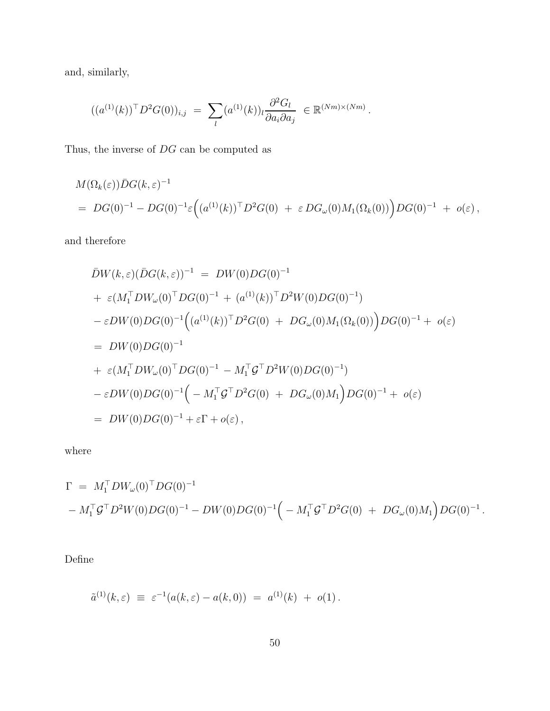and, similarly,

$$
((a^{(1)}(k))^{\top} D^2 G(0))_{i,j} = \sum_{l} (a^{(1)}(k))_{l} \frac{\partial^2 G_{l}}{\partial a_{i} \partial a_{j}} \in \mathbb{R}^{(Nm)\times (Nm)}.
$$

Thus, the inverse of DG can be computed as

$$
M(\Omega_k(\varepsilon))\bar{D}G(k,\varepsilon)^{-1}
$$
  
= 
$$
DG(0)^{-1} - DG(0)^{-1}\varepsilon ((a^{(1)}(k))^{\top}D^2G(0) + \varepsilon DG_{\omega}(0)M_1(\Omega_k(0)))DG(0)^{-1} + o(\varepsilon),
$$

and therefore

$$
\bar{D}W(k,\varepsilon)(\bar{D}G(k,\varepsilon))^{-1} = DW(0)DG(0)^{-1} \n+ \varepsilon(M_1^T DW_\omega(0)^T DG(0)^{-1} + (a^{(1)}(k))^T D^2 W(0)DG(0)^{-1}) \n- \varepsilon DW(0)DG(0)^{-1} ((a^{(1)}(k))^T D^2 G(0) + DG_\omega(0)M_1(\Omega_k(0)))DG(0)^{-1} + o(\varepsilon) \n= DW(0)DG(0)^{-1} \n+ \varepsilon(M_1^T DW_\omega(0)^T DG(0)^{-1} - M_1^T \mathcal{G}^T D^2 W(0)DG(0)^{-1}) \n- \varepsilon DW(0)DG(0)^{-1} \Big( - M_1^T \mathcal{G}^T D^2 G(0) + DG_\omega(0)M_1 \Big)DG(0)^{-1} + o(\varepsilon) \n= DW(0)DG(0)^{-1} + \varepsilon \Gamma + o(\varepsilon),
$$

where

$$
\Gamma = M_1^{\top} D W_{\omega}(0)^{\top} D G(0)^{-1}
$$
  
-  $M_1^{\top} G^{\top} D^2 W(0) D G(0)^{-1} - D W(0) D G(0)^{-1} \Big(- M_1^{\top} G^{\top} D^2 G(0) + D G_{\omega}(0) M_1 \Big) D G(0)^{-1}.$ 

Define

$$
\tilde{a}^{(1)}(k,\varepsilon) \equiv \varepsilon^{-1}(a(k,\varepsilon) - a(k,0)) = a^{(1)}(k) + o(1).
$$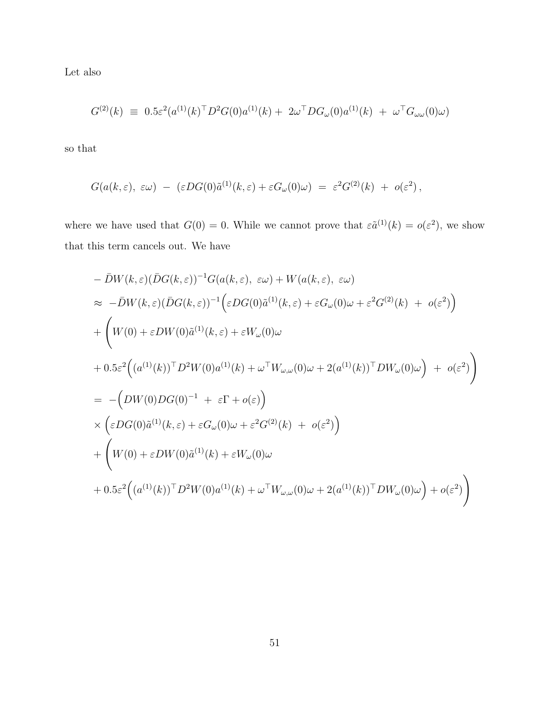Let also

$$
G^{(2)}(k) \equiv 0.5\varepsilon^2 (a^{(1)}(k)^{\top} D^2 G(0) a^{(1)}(k) + 2\omega^{\top} D G_{\omega}(0) a^{(1)}(k) + \omega^{\top} G_{\omega\omega}(0) \omega)
$$

so that

$$
G(a(k,\varepsilon), \varepsilon\omega) - (\varepsilon DG(0)\tilde{a}^{(1)}(k,\varepsilon) + \varepsilon G_{\omega}(0)\omega) = \varepsilon^2 G^{(2)}(k) + o(\varepsilon^2),
$$

where we have used that  $G(0) = 0$ . While we cannot prove that  $\varepsilon \tilde{a}^{(1)}(k) = o(\varepsilon^2)$ , we show that this term cancels out. We have

$$
- \bar{D}W(k,\varepsilon)(\bar{D}G(k,\varepsilon))^{-1}G(a(k,\varepsilon), \varepsilon\omega) + W(a(k,\varepsilon), \varepsilon\omega)
$$
  
\n
$$
\approx -\bar{D}W(k,\varepsilon)(\bar{D}G(k,\varepsilon))^{-1}(\varepsilon DG(0)\tilde{a}^{(1)}(k,\varepsilon) + \varepsilon G_{\omega}(0)\omega + \varepsilon^{2}G^{(2)}(k) + o(\varepsilon^{2}))
$$
  
\n
$$
+ \left(W(0) + \varepsilon DW(0)\tilde{a}^{(1)}(k,\varepsilon) + \varepsilon W_{\omega}(0)\omega + O(\varepsilon^{2})\omega\right)
$$
  
\n
$$
+ 0.5\varepsilon^{2}\left((a^{(1)}(k))\bar{D}^{2}W(0)a^{(1)}(k) + \omega^{\top}W_{\omega,\omega}(0)\omega + 2(a^{(1)}(k))\bar{D}W_{\omega}(0)\omega\right) + o(\varepsilon^{2})\right)
$$
  
\n
$$
= -\left(DW(0)DG(0)^{-1} + \varepsilon\Gamma + o(\varepsilon)\right)
$$
  
\n
$$
\times \left(\varepsilon DG(0)\tilde{a}^{(1)}(k,\varepsilon) + \varepsilon G_{\omega}(0)\omega + \varepsilon^{2}G^{(2)}(k) + o(\varepsilon^{2})\right)
$$
  
\n
$$
+ \left(W(0) + \varepsilon DW(0)\tilde{a}^{(1)}(k) + \varepsilon W_{\omega}(0)\omega + O(\varepsilon^{2})\omega\right) + O(\varepsilon^{2})\omega + O(\varepsilon^{2})\omega + O(\varepsilon^{2})\omega + O(\varepsilon^{2})\omega + O(\varepsilon^{2})\omega + O(\varepsilon^{2})\omega + O(\varepsilon^{2})\omega + O(\varepsilon^{2})\omega + O(\varepsilon^{2})\omega + O(\varepsilon^{2})\omega + O(\varepsilon^{2})\omega + O(\varepsilon^{2})\omega + O(\varepsilon^{2})\omega + O(\varepsilon^{2})\omega + O(\varepsilon^{2})\omega + O(\varepsilon^{2})\omega + O(\varepsilon^{2})\omega + O(\varepsilon^{2})\omega + O(\varepsilon^{2})\omega + O(\varepsilon^{2})\omega + O(\varepsilon^{2})\omega +
$$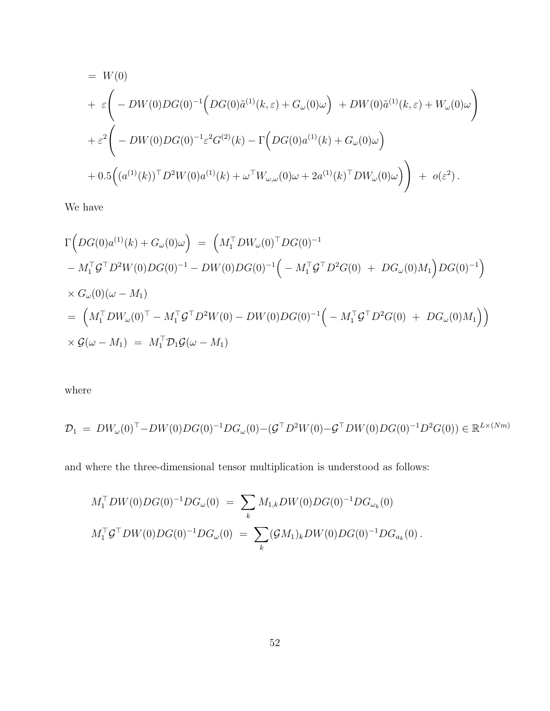$$
= W(0)
$$
  
+  $\varepsilon \left( -DW(0)DG(0)^{-1} \Big(DG(0)\tilde{a}^{(1)}(k,\varepsilon) + G_{\omega}(0)\omega\Big) + DW(0)\tilde{a}^{(1)}(k,\varepsilon) + W_{\omega}(0)\omega\right)$   
+  $\varepsilon^{2} \left( -DW(0)DG(0)^{-1}\varepsilon^{2}G^{(2)}(k) - \Gamma\Big(DG(0)a^{(1)}(k) + G_{\omega}(0)\omega\Big) + 0.5\Big((a^{(1)}(k))^{T}D^{2}W(0)a^{(1)}(k) + \omega^{T}W_{\omega,\omega}(0)\omega + 2a^{(1)}(k)^{T}DW_{\omega}(0)\omega\Big) \right) + o(\varepsilon^{2}).$ 

We have

$$
\Gamma(DG(0)a^{(1)}(k) + G_{\omega}(0)\omega) = (M_1^{\top}DW_{\omega}(0)^{\top}DG(0)^{-1} - M_1^{\top}G^{\top}D^2W(0)DG(0)^{-1} - DW(0)DG(0)^{-1} \Big(- M_1^{\top}G^{\top}D^2G(0) + DG_{\omega}(0)M_1\Big)DG(0)^{-1}\Big) \times G_{\omega}(0)(\omega - M_1) = (M_1^{\top}DW_{\omega}(0)^{\top} - M_1^{\top}G^{\top}D^2W(0) - DW(0)DG(0)^{-1} \Big(- M_1^{\top}G^{\top}D^2G(0) + DG_{\omega}(0)M_1\Big)\Big) \times \mathcal{G}(\omega - M_1) = M_1^{\top}\mathcal{D}_1\mathcal{G}(\omega - M_1)
$$

where

$$
\mathcal{D}_1 = DW_\omega(0)^\top - DW(0)DG(0)^{-1}DG_\omega(0) - (\mathcal{G}^\top D^2W(0) - \mathcal{G}^\top DW(0)DG(0)^{-1}D^2G(0)) \in \mathbb{R}^{L \times (Nm)}
$$

and where the three-dimensional tensor multiplication is understood as follows:

$$
M_1^{\top}DW(0)DG(0)^{-1}DG_{\omega}(0) = \sum_k M_{1,k}DW(0)DG(0)^{-1}DG_{\omega_k}(0)
$$
  

$$
M_1^{\top}\mathcal{G}^{\top}DW(0)DG(0)^{-1}DG_{\omega}(0) = \sum_k (\mathcal{G}M_1)_k DW(0)DG(0)^{-1}DG_{a_k}(0).
$$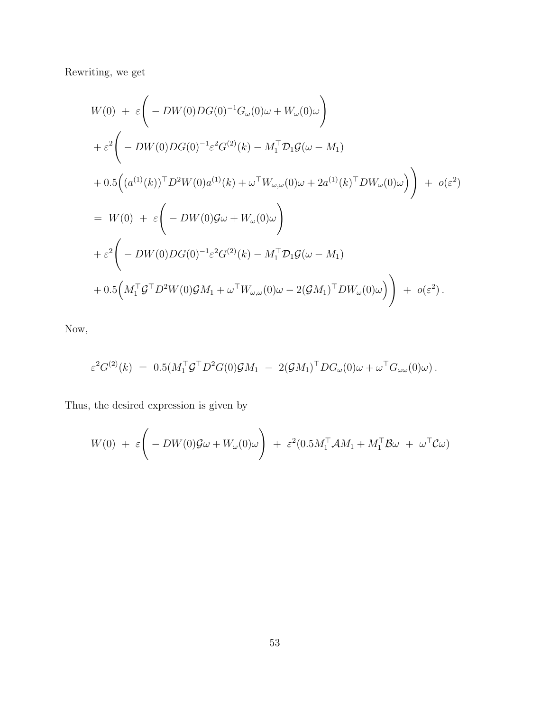Rewriting, we get

$$
W(0) + \varepsilon \Bigg( -DW(0)DG(0)^{-1}G_{\omega}(0)\omega + W_{\omega}(0)\omega \Bigg)
$$
  
+  $\varepsilon^{2} \Bigg( -DW(0)DG(0)^{-1}\varepsilon^{2}G^{(2)}(k) - M_{1}^{\top}D_{1}\mathcal{G}(\omega - M_{1})$   
+  $0.5 \Big( (a^{(1)}(k))^{\top}D^{2}W(0)a^{(1)}(k) + \omega^{\top}W_{\omega,\omega}(0)\omega + 2a^{(1)}(k)^{\top}DW_{\omega}(0)\omega \Big) \Bigg) + o(\varepsilon^{2})$   
=  $W(0) + \varepsilon \Bigg( -DW(0)\mathcal{G}\omega + W_{\omega}(0)\omega \Bigg)$   
+  $\varepsilon^{2} \Bigg( -DW(0)DG(0)^{-1}\varepsilon^{2}G^{(2)}(k) - M_{1}^{\top}D_{1}\mathcal{G}(\omega - M_{1})$   
+  $0.5 \Big(M_{1}^{\top}\mathcal{G}^{\top}D^{2}W(0)\mathcal{G}M_{1} + \omega^{\top}W_{\omega,\omega}(0)\omega - 2(\mathcal{G}M_{1})^{\top}DW_{\omega}(0)\omega \Big) \Bigg) + o(\varepsilon^{2}).$ 

Now,

$$
\varepsilon^2 G^{(2)}(k) = 0.5(M_1^{\top} \mathcal{G}^{\top} D^2 G(0) \mathcal{G} M_1 - 2(\mathcal{G} M_1)^{\top} D G_{\omega}(0) \omega + \omega^{\top} G_{\omega \omega}(0) \omega).
$$

Thus, the desired expression is given by

$$
W(0) + \varepsilon \Bigg( -DW(0) \mathcal{G}\omega + W_{\omega}(0)\omega \Bigg) + \varepsilon^2 (0.5M_1^{\top} \mathcal{A}M_1 + M_1^{\top} \mathcal{B}\omega + \omega^{\top} \mathcal{C}\omega)
$$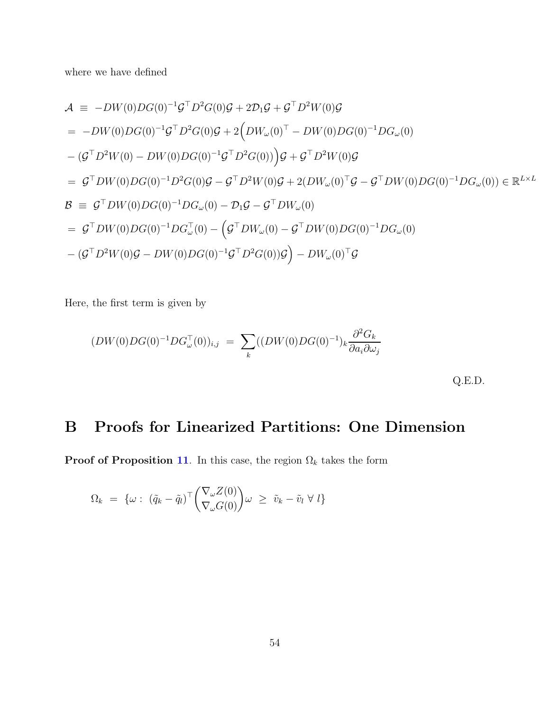where we have defined

$$
\mathcal{A} \equiv -DW(0)DG(0)^{-1}\mathcal{G}^{\top}D^{2}G(0)\mathcal{G} + 2\mathcal{D}_{1}\mathcal{G} + \mathcal{G}^{\top}D^{2}W(0)\mathcal{G}
$$
\n
$$
= -DW(0)DG(0)^{-1}\mathcal{G}^{\top}D^{2}G(0)\mathcal{G} + 2\left(DW_{\omega}(0)^{\top} - DW(0)DG(0)^{-1}DG_{\omega}(0)\right)
$$
\n
$$
-(\mathcal{G}^{\top}D^{2}W(0) - DW(0)DG(0)^{-1}\mathcal{G}^{\top}D^{2}G(0))\mathcal{G} + \mathcal{G}^{\top}D^{2}W(0)\mathcal{G}
$$
\n
$$
= \mathcal{G}^{\top}DW(0)DG(0)^{-1}D^{2}G(0)\mathcal{G} - \mathcal{G}^{\top}D^{2}W(0)\mathcal{G} + 2(DW_{\omega}(0)^{\top}\mathcal{G} - \mathcal{G}^{\top}DW(0)DG(0)^{-1}DG_{\omega}(0)) \in \mathbb{R}^{L \times L}
$$
\n
$$
\mathcal{B} \equiv \mathcal{G}^{\top}DW(0)DG(0)^{-1}DG_{\omega}(0) - \mathcal{D}_{1}\mathcal{G} - \mathcal{G}^{\top}DW_{\omega}(0)
$$
\n
$$
= \mathcal{G}^{\top}DW(0)DG(0)^{-1}DG_{\omega}^{\top}(0) - \left(\mathcal{G}^{\top}DW_{\omega}(0) - \mathcal{G}^{\top}DW(0)DG(0)^{-1}DG_{\omega}(0)\right)
$$
\n
$$
-(\mathcal{G}^{\top}D^{2}W(0)\mathcal{G} - DW(0)DG(0)^{-1}\mathcal{G}^{\top}D^{2}G(0))\mathcal{G}\right) - DW_{\omega}(0)^{\top}\mathcal{G}
$$

Here, the first term is given by

$$
(DW(0)DG(0)^{-1}DG_{\omega}^{T}(0))_{i,j} = \sum_{k} ((DW(0)DG(0)^{-1})_{k} \frac{\partial^{2} G_{k}}{\partial a_{i} \partial \omega_{j}} \tag{Q.E.D.}
$$

## B Proofs for Linearized Partitions: One Dimension

**Proof of Proposition [11](#page-27-1).** In this case, the region  $\Omega_k$  takes the form

$$
\Omega_k = \{ \omega : (\tilde{q}_k - \tilde{q}_l)^\top \begin{pmatrix} \nabla_\omega Z(0) \\ \nabla_\omega G(0) \end{pmatrix} \omega \geq \tilde{v}_k - \tilde{v}_l \ \forall \ l \}
$$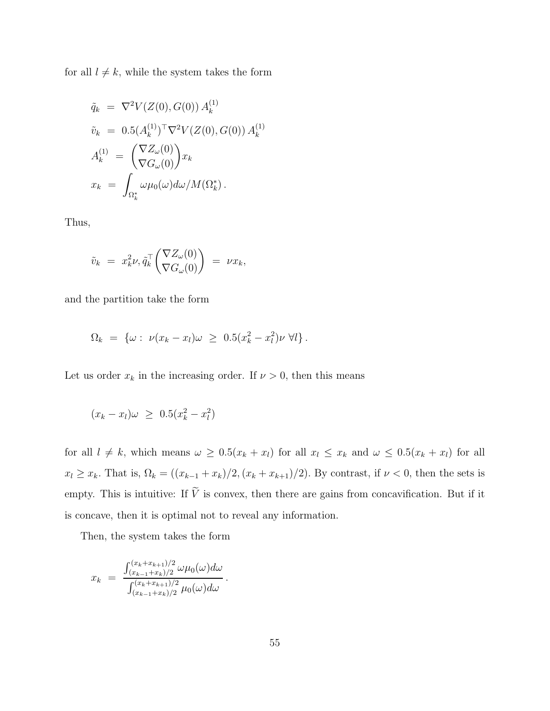for all  $l \neq k$ , while the system takes the form

$$
\tilde{q}_k = \nabla^2 V(Z(0), G(0)) A_k^{(1)} \n\tilde{v}_k = 0.5 (A_k^{(1)})^\top \nabla^2 V(Z(0), G(0)) A_k^{(1)} \nA_k^{(1)} = \left( \nabla Z_\omega(0) \right) x_k \nx_k = \int_{\Omega_k^*} \omega \mu_0(\omega) d\omega / M(\Omega_k^*).
$$

Thus,

$$
\tilde{v}_k \ = \ x_k^2 \nu, \tilde{q}_k^\top \begin{pmatrix} \nabla Z_\omega(0) \\ \nabla G_\omega(0) \end{pmatrix} \ = \ \nu x_k,
$$

and the partition take the form

$$
\Omega_k = \{ \omega : \nu(x_k - x_l)\omega \geq 0.5(x_k^2 - x_l^2)\nu \ \forall l \}.
$$

Let us order  $x_k$  in the increasing order. If  $\nu > 0$ , then this means

$$
(x_k - x_l)\omega \ \geq \ 0.5(x_k^2 - x_l^2)
$$

for all  $l \neq k$ , which means  $\omega \geq 0.5(x_k + x_l)$  for all  $x_l \leq x_k$  and  $\omega \leq 0.5(x_k + x_l)$  for all  $x_l \ge x_k$ . That is,  $\Omega_k = \left( (x_{k-1} + x_k)/2, (x_k + x_{k+1})/2 \right)$ . By contrast, if  $\nu < 0$ , then the sets is empty. This is intuitive: If  $V$  is convex, then there are gains from concavification. But if it is concave, then it is optimal not to reveal any information.

Then, the system takes the form

$$
x_k = \frac{\int_{(x_{k-1}+x_k)/2}^{(x_k+x_{k+1})/2} \omega \mu_0(\omega) d\omega}{\int_{(x_{k-1}+x_k)/2}^{(x_k+x_{k+1})/2} \mu_0(\omega) d\omega}.
$$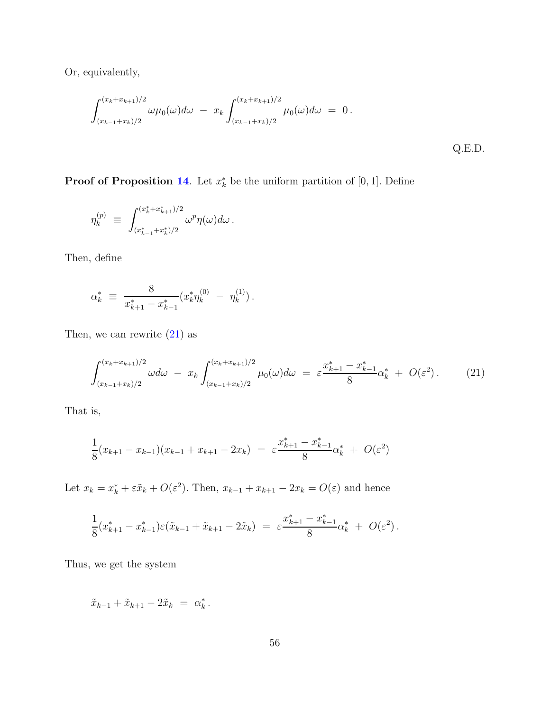Or, equivalently,

$$
\int_{(x_{k-1}+x_k)/2}^{(x_k+x_{k+1})/2} \omega \mu_0(\omega) d\omega - x_k \int_{(x_{k-1}+x_k)/2}^{(x_k+x_{k+1})/2} \mu_0(\omega) d\omega = 0.
$$
\nQ.E.D.

**Proof of Proposition [14](#page-29-2).** Let  $x_k^*$  be the uniform partition of [0, 1]. Define

$$
\eta^{(p)}_k \ \equiv \ \int^{(x_k^* + x_{k+1}^*)/2}_{(x_{k-1}^* + x_k^*)/2} \omega^p \eta(\omega) d\omega \, .
$$

Then, define

$$
\alpha_k^* \ \equiv \ \frac{8}{x_{k+1}^* - x_{k-1}^*} (x_k^* \eta_k^{(0)} \ - \ \eta_k^{(1)}).
$$

Then, we can rewrite  $(21)$  as

<span id="page-55-0"></span>
$$
\int_{(x_{k-1}+x_k)/2}^{(x_k+x_{k+1})/2} \omega d\omega - x_k \int_{(x_{k-1}+x_k)/2}^{(x_k+x_{k+1})/2} \mu_0(\omega) d\omega = \varepsilon \frac{x_{k+1}^* - x_{k-1}^*}{8} \alpha_k^* + O(\varepsilon^2).
$$
 (21)

That is,

$$
\frac{1}{8}(x_{k+1} - x_{k-1})(x_{k-1} + x_{k+1} - 2x_k) = \varepsilon \frac{x_{k+1}^* - x_{k-1}^*}{8} \alpha_k^* + O(\varepsilon^2)
$$

Let  $x_k = x_k^* + \varepsilon \tilde{x}_k + O(\varepsilon^2)$ . Then,  $x_{k-1} + x_{k+1} - 2x_k = O(\varepsilon)$  and hence

$$
\frac{1}{8}(x_{k+1}^*-x_{k-1}^*)\varepsilon(\tilde{x}_{k-1}+\tilde{x}_{k+1}-2\tilde{x}_k)\ =\ \varepsilon\frac{x_{k+1}^*-x_{k-1}^*}{8}\alpha_k^*\ +\ O(\varepsilon^2)\,.
$$

Thus, we get the system

$$
\tilde{x}_{k-1} + \tilde{x}_{k+1} - 2\tilde{x}_k = \alpha_k^*.
$$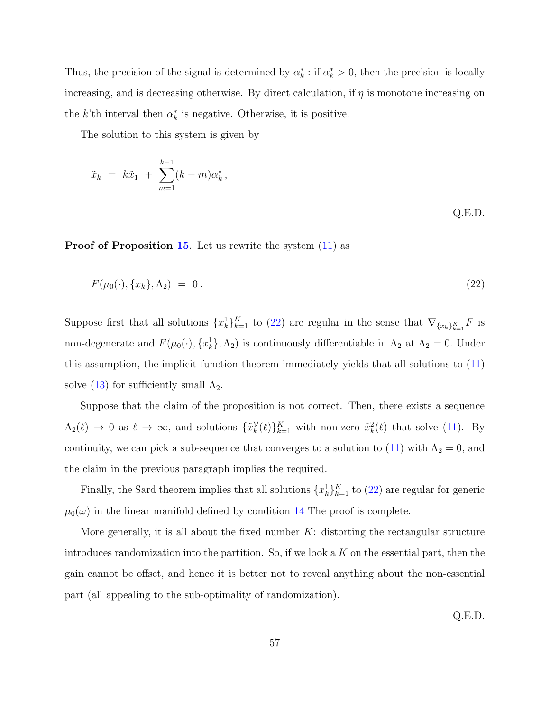Thus, the precision of the signal is determined by  $\alpha_k^*$ : if  $\alpha_k^* > 0$ , then the precision is locally increasing, and is decreasing otherwise. By direct calculation, if  $\eta$  is monotone increasing on the k'th interval then  $\alpha_k^*$  is negative. Otherwise, it is positive.

The solution to this system is given by

$$
\tilde{x}_k = k\tilde{x}_1 + \sum_{m=1}^{k-1} (k-m)\alpha_k^*,
$$
 Q.E.D.

Proof of Proposition [15](#page-32-0). Let us rewrite the system  $(11)$  as

$$
F(\mu_0(\cdot), \{x_k\}, \Lambda_2) = 0. \tag{22}
$$

Suppose first that all solutions  $\{x_k^1\}_{k=1}^K$  to [\(22\)](#page-56-0) are regular in the sense that  $\nabla_{\{x_k\}_{k=1}^K} F$  is non-degenerate and  $F(\mu_0(\cdot), \{x_k^1\}, \Lambda_2)$  is continuously differentiable in  $\Lambda_2$  at  $\Lambda_2 = 0$ . Under this assumption, the implicit function theorem immediately yields that all solutions to [\(11\)](#page-31-0) solve [\(13\)](#page-31-2) for sufficiently small  $\Lambda_2$ .

Suppose that the claim of the proposition is not correct. Then, there exists a sequence  $\Lambda_2(\ell) \to 0$  as  $\ell \to \infty$ , and solutions  $\{\tilde{x}_k^{\mathcal{V}}(\ell)\}_{k=1}^K$  with non-zero  $\tilde{x}_k^2(\ell)$  that solve [\(11\)](#page-31-0). By continuity, we can pick a sub-sequence that converges to a solution to [\(11\)](#page-31-0) with  $\Lambda_2 = 0$ , and the claim in the previous paragraph implies the required.

Finally, the Sard theorem implies that all solutions  $\{x_k^1\}_{k=1}^K$  to [\(22\)](#page-56-0) are regular for generic  $\mu_0(\omega)$  in the linear manifold defined by condition [14](#page-32-1) The proof is complete.

More generally, it is all about the fixed number  $K$ : distorting the rectangular structure introduces randomization into the partition. So, if we look a  $K$  on the essential part, then the gain cannot be offset, and hence it is better not to reveal anything about the non-essential part (all appealing to the sub-optimality of randomization).

<span id="page-56-0"></span>Q.E.D.